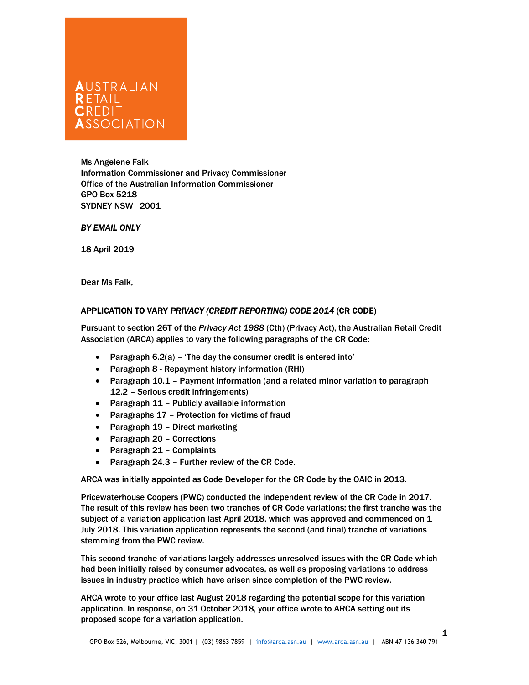# l CREDIT<br>Association

Ms Angelene Falk Information Commissioner and Privacy Commissioner Office of the Australian Information Commissioner GPO Box 5218 SYDNEY NSW 2001

# BY EMAIL ONLY

18 April 2019

Dear Ms Falk,

# APPLICATION TO VARY PRIVACY (CREDIT REPORTING) CODE 2014 (CR CODE)

Pursuant to section 26T of the Privacy Act 1988 (Cth) (Privacy Act), the Australian Retail Credit Association (ARCA) applies to vary the following paragraphs of the CR Code:

- Paragraph 6.2(a) 'The day the consumer credit is entered into'
- Paragraph 8 Repayment history information (RHI)
- Paragraph 10.1 Payment information (and a related minor variation to paragraph 12.2 – Serious credit infringements)
- Paragraph 11 Publicly available information
- Paragraphs 17 Protection for victims of fraud
- Paragraph 19 Direct marketing
- Paragraph 20 Corrections
- Paragraph 21 Complaints
- Paragraph 24.3 Further review of the CR Code.

ARCA was initially appointed as Code Developer for the CR Code by the OAIC in 2013.

Pricewaterhouse Coopers (PWC) conducted the independent review of the CR Code in 2017. The result of this review has been two tranches of CR Code variations; the first tranche was the subject of a variation application last April 2018, which was approved and commenced on 1 July 2018. This variation application represents the second (and final) tranche of variations stemming from the PWC review.

This second tranche of variations largely addresses unresolved issues with the CR Code which had been initially raised by consumer advocates, as well as proposing variations to address issues in industry practice which have arisen since completion of the PWC review.

ARCA wrote to your office last August 2018 regarding the potential scope for this variation application. In response, on 31 October 2018, your office wrote to ARCA setting out its proposed scope for a variation application.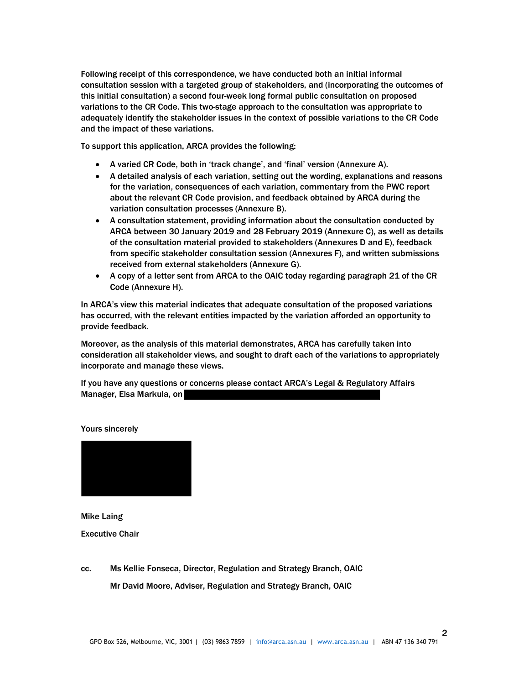Following receipt of this correspondence, we have conducted both an initial informal consultation session with a targeted group of stakeholders, and (incorporating the outcomes of this initial consultation) a second four-week long formal public consultation on proposed variations to the CR Code. This two-stage approach to the consultation was appropriate to adequately identify the stakeholder issues in the context of possible variations to the CR Code and the impact of these variations.

To support this application, ARCA provides the following:

- A varied CR Code, both in 'track change', and 'final' version (Annexure A).
- A detailed analysis of each variation, setting out the wording, explanations and reasons for the variation, consequences of each variation, commentary from the PWC report about the relevant CR Code provision, and feedback obtained by ARCA during the variation consultation processes (Annexure B).
- A consultation statement, providing information about the consultation conducted by ARCA between 30 January 2019 and 28 February 2019 (Annexure C), as well as details of the consultation material provided to stakeholders (Annexures D and E), feedback from specific stakeholder consultation session (Annexures F), and written submissions received from external stakeholders (Annexure G).
- A copy of a letter sent from ARCA to the OAIC today regarding paragraph 21 of the CR Code (Annexure H).

In ARCA's view this material indicates that adequate consultation of the proposed variations has occurred, with the relevant entities impacted by the variation afforded an opportunity to provide feedback.

Moreover, as the analysis of this material demonstrates, ARCA has carefully taken into consideration all stakeholder views, and sought to draft each of the variations to appropriately incorporate and manage these views.

If you have any questions or concerns please contact ARCA's Legal & Regulatory Affairs Manager, Elsa Markula, on



Yours sincerely

Mike Laing Executive Chair

cc. Ms Kellie Fonseca, Director, Regulation and Strategy Branch, OAIC Mr David Moore, Adviser, Regulation and Strategy Branch, OAIC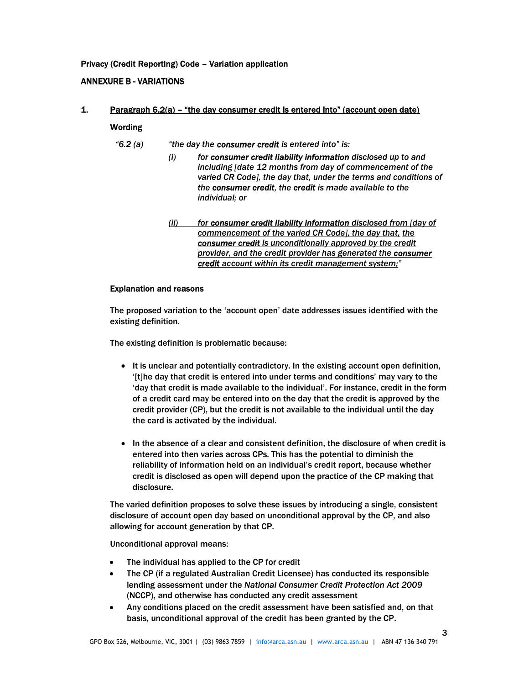# Privacy (Credit Reporting) Code – Variation application

# ANNEXURE B - VARIATIONS

# 1. Paragraph 6.2(a) – "the day consumer credit is entered into" (account open date)

# Wording

"6.2 (a)  $\qquad$  "the day the **consumer credit** is entered into" is:

- (i) for consumer credit liability information disclosed up to and including [date 12 months from day of commencement of the varied CR Code], the day that, under the terms and conditions of the consumer credit, the credit is made available to the individual; or
	- (ii) for consumer credit liability information disclosed from [day of commencement of the varied CR Code], the day that, the consumer credit is unconditionally approved by the credit provider, and the credit provider has generated the consumer credit account within its credit management system;"

## Explanation and reasons

The proposed variation to the 'account open' date addresses issues identified with the existing definition.

The existing definition is problematic because:

- It is unclear and potentially contradictory. In the existing account open definition, '[t]he day that credit is entered into under terms and conditions' may vary to the 'day that credit is made available to the individual'. For instance, credit in the form of a credit card may be entered into on the day that the credit is approved by the credit provider (CP), but the credit is not available to the individual until the day the card is activated by the individual.
- In the absence of a clear and consistent definition, the disclosure of when credit is entered into then varies across CPs. This has the potential to diminish the reliability of information held on an individual's credit report, because whether credit is disclosed as open will depend upon the practice of the CP making that disclosure.

The varied definition proposes to solve these issues by introducing a single, consistent disclosure of account open day based on unconditional approval by the CP, and also allowing for account generation by that CP.

Unconditional approval means:

- The individual has applied to the CP for credit
- The CP (if a regulated Australian Credit Licensee) has conducted its responsible lending assessment under the National Consumer Credit Protection Act 2009 (NCCP), and otherwise has conducted any credit assessment
- Any conditions placed on the credit assessment have been satisfied and, on that basis, unconditional approval of the credit has been granted by the CP.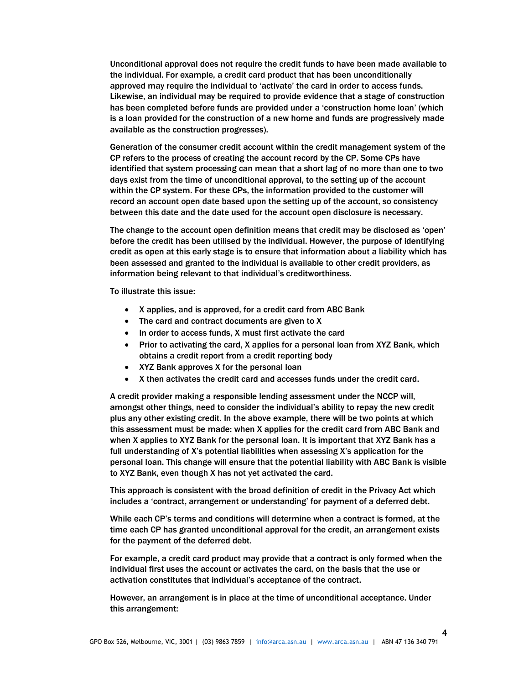Unconditional approval does not require the credit funds to have been made available to the individual. For example, a credit card product that has been unconditionally approved may require the individual to 'activate' the card in order to access funds. Likewise, an individual may be required to provide evidence that a stage of construction has been completed before funds are provided under a 'construction home loan' (which is a loan provided for the construction of a new home and funds are progressively made available as the construction progresses).

Generation of the consumer credit account within the credit management system of the CP refers to the process of creating the account record by the CP. Some CPs have identified that system processing can mean that a short lag of no more than one to two days exist from the time of unconditional approval, to the setting up of the account within the CP system. For these CPs, the information provided to the customer will record an account open date based upon the setting up of the account, so consistency between this date and the date used for the account open disclosure is necessary.

The change to the account open definition means that credit may be disclosed as 'open' before the credit has been utilised by the individual. However, the purpose of identifying credit as open at this early stage is to ensure that information about a liability which has been assessed and granted to the individual is available to other credit providers, as information being relevant to that individual's creditworthiness.

To illustrate this issue:

- X applies, and is approved, for a credit card from ABC Bank
- The card and contract documents are given to X
- In order to access funds, X must first activate the card
- Prior to activating the card, X applies for a personal loan from XYZ Bank, which obtains a credit report from a credit reporting body
- XYZ Bank approves X for the personal loan
- X then activates the credit card and accesses funds under the credit card.

A credit provider making a responsible lending assessment under the NCCP will, amongst other things, need to consider the individual's ability to repay the new credit plus any other existing credit. In the above example, there will be two points at which this assessment must be made: when X applies for the credit card from ABC Bank and when X applies to XYZ Bank for the personal loan. It is important that XYZ Bank has a full understanding of X's potential liabilities when assessing X's application for the personal loan. This change will ensure that the potential liability with ABC Bank is visible to XYZ Bank, even though X has not yet activated the card.

This approach is consistent with the broad definition of credit in the Privacy Act which includes a 'contract, arrangement or understanding' for payment of a deferred debt.

While each CP's terms and conditions will determine when a contract is formed, at the time each CP has granted unconditional approval for the credit, an arrangement exists for the payment of the deferred debt.

For example, a credit card product may provide that a contract is only formed when the individual first uses the account or activates the card, on the basis that the use or activation constitutes that individual's acceptance of the contract.

However, an arrangement is in place at the time of unconditional acceptance. Under this arrangement: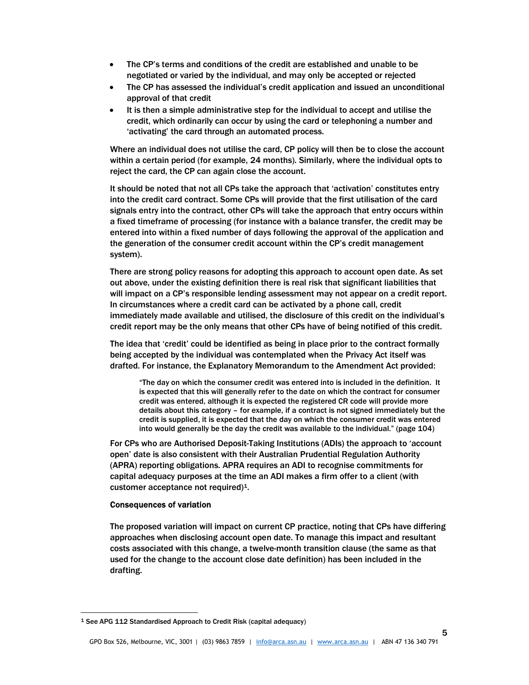- The CP's terms and conditions of the credit are established and unable to be negotiated or varied by the individual, and may only be accepted or rejected
- The CP has assessed the individual's credit application and issued an unconditional approval of that credit
- It is then a simple administrative step for the individual to accept and utilise the credit, which ordinarily can occur by using the card or telephoning a number and 'activating' the card through an automated process.

Where an individual does not utilise the card, CP policy will then be to close the account within a certain period (for example, 24 months). Similarly, where the individual opts to reject the card, the CP can again close the account.

It should be noted that not all CPs take the approach that 'activation' constitutes entry into the credit card contract. Some CPs will provide that the first utilisation of the card signals entry into the contract, other CPs will take the approach that entry occurs within a fixed timeframe of processing (for instance with a balance transfer, the credit may be entered into within a fixed number of days following the approval of the application and the generation of the consumer credit account within the CP's credit management system).

There are strong policy reasons for adopting this approach to account open date. As set out above, under the existing definition there is real risk that significant liabilities that will impact on a CP's responsible lending assessment may not appear on a credit report. In circumstances where a credit card can be activated by a phone call, credit immediately made available and utilised, the disclosure of this credit on the individual's credit report may be the only means that other CPs have of being notified of this credit.

The idea that 'credit' could be identified as being in place prior to the contract formally being accepted by the individual was contemplated when the Privacy Act itself was drafted. For instance, the Explanatory Memorandum to the Amendment Act provided:

"The day on which the consumer credit was entered into is included in the definition. It is expected that this will generally refer to the date on which the contract for consumer credit was entered, although it is expected the registered CR code will provide more details about this category – for example, if a contract is not signed immediately but the credit is supplied, it is expected that the day on which the consumer credit was entered into would generally be the day the credit was available to the individual." (page 104)

For CPs who are Authorised Deposit-Taking Institutions (ADIs) the approach to 'account open' date is also consistent with their Australian Prudential Regulation Authority (APRA) reporting obligations. APRA requires an ADI to recognise commitments for capital adequacy purposes at the time an ADI makes a firm offer to a client (with customer acceptance not required)1.

## Consequences of variation

-

The proposed variation will impact on current CP practice, noting that CPs have differing approaches when disclosing account open date. To manage this impact and resultant costs associated with this change, a twelve-month transition clause (the same as that used for the change to the account close date definition) has been included in the drafting.

<sup>1</sup> See APG 112 Standardised Approach to Credit Risk (capital adequacy)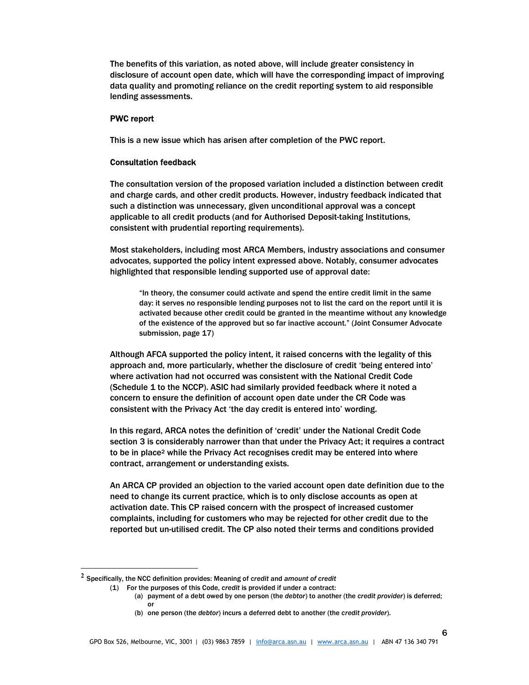The benefits of this variation, as noted above, will include greater consistency in disclosure of account open date, which will have the corresponding impact of improving data quality and promoting reliance on the credit reporting system to aid responsible lending assessments.

#### PWC report

This is a new issue which has arisen after completion of the PWC report.

#### Consultation feedback

The consultation version of the proposed variation included a distinction between credit and charge cards, and other credit products. However, industry feedback indicated that such a distinction was unnecessary, given unconditional approval was a concept applicable to all credit products (and for Authorised Deposit-taking Institutions, consistent with prudential reporting requirements).

Most stakeholders, including most ARCA Members, industry associations and consumer advocates, supported the policy intent expressed above. Notably, consumer advocates highlighted that responsible lending supported use of approval date:

"In theory, the consumer could activate and spend the entire credit limit in the same day: it serves no responsible lending purposes not to list the card on the report until it is activated because other credit could be granted in the meantime without any knowledge of the existence of the approved but so far inactive account." (Joint Consumer Advocate submission, page 17)

Although AFCA supported the policy intent, it raised concerns with the legality of this approach and, more particularly, whether the disclosure of credit 'being entered into' where activation had not occurred was consistent with the National Credit Code (Schedule 1 to the NCCP). ASIC had similarly provided feedback where it noted a concern to ensure the definition of account open date under the CR Code was consistent with the Privacy Act 'the day credit is entered into' wording.

In this regard, ARCA notes the definition of 'credit' under the National Credit Code section 3 is considerably narrower than that under the Privacy Act; it requires a contract to be in place<sup>2</sup> while the Privacy Act recognises credit may be entered into where contract, arrangement or understanding exists.

An ARCA CP provided an objection to the varied account open date definition due to the need to change its current practice, which is to only disclose accounts as open at activation date. This CP raised concern with the prospect of increased customer complaints, including for customers who may be rejected for other credit due to the reported but un-utilised credit. The CP also noted their terms and conditions provided

-

 $^2$  Specifically, the NCC definition provides: Meaning of credit and amount of credit

<sup>(1)</sup> For the purposes of this Code, credit is provided if under a contract:

 <sup>(</sup>a) payment of a debt owed by one person (the debtor) to another (the credit provider) is deferred; or

 <sup>(</sup>b) one person (the debtor) incurs a deferred debt to another (the credit provider).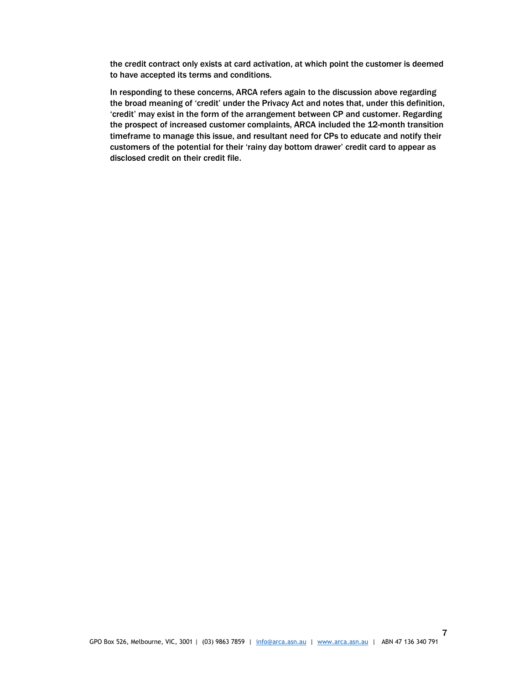the credit contract only exists at card activation, at which point the customer is deemed to have accepted its terms and conditions.

In responding to these concerns, ARCA refers again to the discussion above regarding the broad meaning of 'credit' under the Privacy Act and notes that, under this definition, 'credit' may exist in the form of the arrangement between CP and customer. Regarding the prospect of increased customer complaints, ARCA included the 12-month transition timeframe to manage this issue, and resultant need for CPs to educate and notify their customers of the potential for their 'rainy day bottom drawer' credit card to appear as disclosed credit on their credit file.

7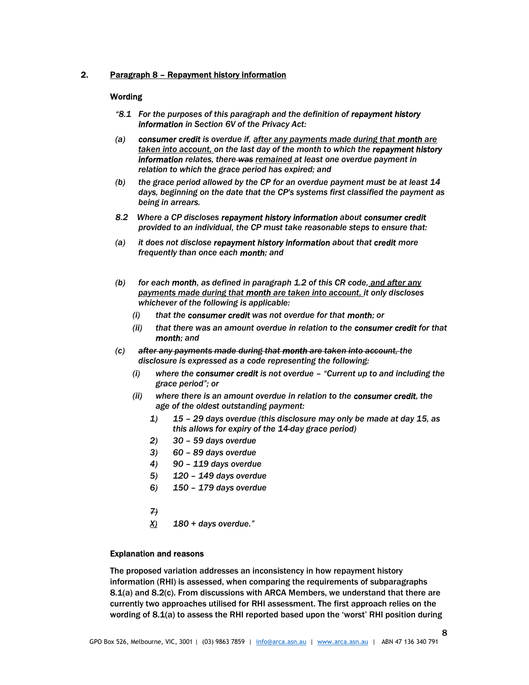## 2. Paragraph 8 – Repayment history information

#### Wording

- "8.1 For the purposes of this paragraph and the definition of repayment history information in Section 6V of the Privacy Act:
- (a) consumer credit is overdue if, after any payments made during that month are taken into account, on the last day of the month to which the repayment history **information** relates, there was remained at least one overdue payment in relation to which the grace period has expired; and
- (b) the grace period allowed by the CP for an overdue payment must be at least 14 days, beginning on the date that the CP's systems first classified the payment as being in arrears.
- 8.2 Where a CP discloses repayment history information about consumer credit provided to an individual, the CP must take reasonable steps to ensure that:
- (a) it does not disclose repayment history information about that credit more frequently than once each month; and
- (b) for each month, as defined in paragraph 1.2 of this CR code, and after any payments made during that month are taken into account, it only discloses whichever of the following is applicable:
	- (i) that the consumer credit was not overdue for that month; or
	- (ii) that there was an amount overdue in relation to the consumer credit for that month; and
- (c) after any payments made during that month are taken into account, the disclosure is expressed as a code representing the following:
	- $(i)$  where the consumer credit is not overdue  $-$  "Current up to and including the grace period"; or
	- (ii) where there is an amount overdue in relation to the consumer credit, the age of the oldest outstanding payment:
		- 1) 15 29 days overdue (this disclosure may only be made at day 15, as this allows for expiry of the 14-day grace period)
		- 2) 30 59 days overdue
		- 3) 60 89 days overdue
		- 4) 90 119 days overdue
		- 5) 120 149 days overdue
		- 6) 150 179 days overdue
		- 7)
		- $\underline{X}$  180 + days overdue."

## Explanation and reasons

The proposed variation addresses an inconsistency in how repayment history information (RHI) is assessed, when comparing the requirements of subparagraphs 8.1(a) and 8.2(c). From discussions with ARCA Members, we understand that there are currently two approaches utilised for RHI assessment. The first approach relies on the wording of 8.1(a) to assess the RHI reported based upon the 'worst' RHI position during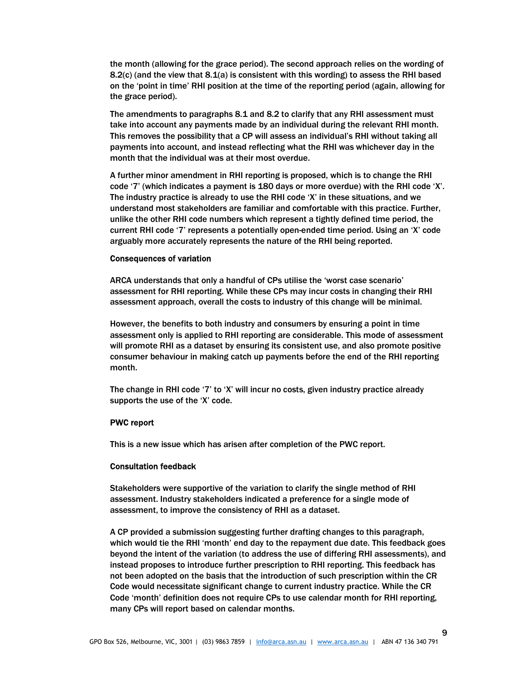the month (allowing for the grace period). The second approach relies on the wording of 8.2(c) (and the view that  $8.1(a)$  is consistent with this wording) to assess the RHI based on the 'point in time' RHI position at the time of the reporting period (again, allowing for the grace period).

The amendments to paragraphs 8.1 and 8.2 to clarify that any RHI assessment must take into account any payments made by an individual during the relevant RHI month. This removes the possibility that a CP will assess an individual's RHI without taking all payments into account, and instead reflecting what the RHI was whichever day in the month that the individual was at their most overdue.

A further minor amendment in RHI reporting is proposed, which is to change the RHI code '7' (which indicates a payment is 180 days or more overdue) with the RHI code 'X'. The industry practice is already to use the RHI code 'X' in these situations, and we understand most stakeholders are familiar and comfortable with this practice. Further, unlike the other RHI code numbers which represent a tightly defined time period, the current RHI code '7' represents a potentially open-ended time period. Using an 'X' code arguably more accurately represents the nature of the RHI being reported.

#### Consequences of variation

ARCA understands that only a handful of CPs utilise the 'worst case scenario' assessment for RHI reporting. While these CPs may incur costs in changing their RHI assessment approach, overall the costs to industry of this change will be minimal.

However, the benefits to both industry and consumers by ensuring a point in time assessment only is applied to RHI reporting are considerable. This mode of assessment will promote RHI as a dataset by ensuring its consistent use, and also promote positive consumer behaviour in making catch up payments before the end of the RHI reporting month.

The change in RHI code '7' to 'X' will incur no costs, given industry practice already supports the use of the 'X' code.

#### PWC report

This is a new issue which has arisen after completion of the PWC report.

#### Consultation feedback

Stakeholders were supportive of the variation to clarify the single method of RHI assessment. Industry stakeholders indicated a preference for a single mode of assessment, to improve the consistency of RHI as a dataset.

A CP provided a submission suggesting further drafting changes to this paragraph, which would tie the RHI 'month' end day to the repayment due date. This feedback goes beyond the intent of the variation (to address the use of differing RHI assessments), and instead proposes to introduce further prescription to RHI reporting. This feedback has not been adopted on the basis that the introduction of such prescription within the CR Code would necessitate significant change to current industry practice. While the CR Code 'month' definition does not require CPs to use calendar month for RHI reporting, many CPs will report based on calendar months.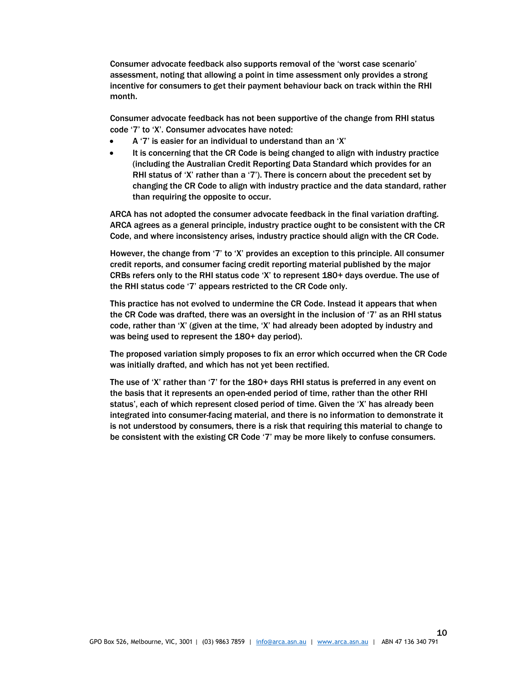Consumer advocate feedback also supports removal of the 'worst case scenario' assessment, noting that allowing a point in time assessment only provides a strong incentive for consumers to get their payment behaviour back on track within the RHI month.

Consumer advocate feedback has not been supportive of the change from RHI status code '7' to 'X'. Consumer advocates have noted:

- A '7' is easier for an individual to understand than an 'X'
- It is concerning that the CR Code is being changed to align with industry practice (including the Australian Credit Reporting Data Standard which provides for an RHI status of 'X' rather than a '7'). There is concern about the precedent set by changing the CR Code to align with industry practice and the data standard, rather than requiring the opposite to occur.

ARCA has not adopted the consumer advocate feedback in the final variation drafting. ARCA agrees as a general principle, industry practice ought to be consistent with the CR Code, and where inconsistency arises, industry practice should align with the CR Code.

However, the change from '7' to 'X' provides an exception to this principle. All consumer credit reports, and consumer facing credit reporting material published by the major CRBs refers only to the RHI status code 'X' to represent 180+ days overdue. The use of the RHI status code '7' appears restricted to the CR Code only.

This practice has not evolved to undermine the CR Code. Instead it appears that when the CR Code was drafted, there was an oversight in the inclusion of '7' as an RHI status code, rather than 'X' (given at the time, 'X' had already been adopted by industry and was being used to represent the 180+ day period).

The proposed variation simply proposes to fix an error which occurred when the CR Code was initially drafted, and which has not yet been rectified.

The use of 'X' rather than '7' for the 180+ days RHI status is preferred in any event on the basis that it represents an open-ended period of time, rather than the other RHI status', each of which represent closed period of time. Given the 'X' has already been integrated into consumer-facing material, and there is no information to demonstrate it is not understood by consumers, there is a risk that requiring this material to change to be consistent with the existing CR Code '7' may be more likely to confuse consumers.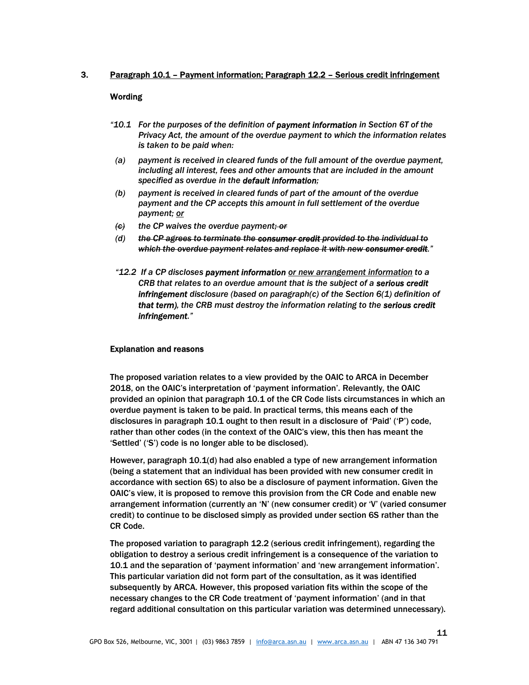## 3. Paragraph 10.1 – Payment information; Paragraph 12.2 – Serious credit infringement

## Wording

- "10.1 For the purposes of the definition of payment information in Section 6T of the Privacy Act, the amount of the overdue payment to which the information relates is taken to be paid when:
- (a) payment is received in cleared funds of the full amount of the overdue payment, including all interest, fees and other amounts that are included in the amount specified as overdue in the default information;
- (b) payment is received in cleared funds of part of the amount of the overdue payment and the CP accepts this amount in full settlement of the overdue payment; or
- $\langle \mathbf{c} \rangle$  the CP waives the overdue payment; or
- (d) the CP agrees to terminate the consumer credit provided to the individual to which the overdue payment relates and replace it with new consumer credit."
- "12.2 If a CP discloses payment information or new arrangement information to a CRB that relates to an overdue amount that is the subject of a serious credit **infringement** disclosure (based on paragraph(c) of the Section  $6(1)$  definition of that term), the CRB must destroy the information relating to the serious credit infringement."

#### Explanation and reasons

The proposed variation relates to a view provided by the OAIC to ARCA in December 2018, on the OAIC's interpretation of 'payment information'. Relevantly, the OAIC provided an opinion that paragraph 10.1 of the CR Code lists circumstances in which an overdue payment is taken to be paid. In practical terms, this means each of the disclosures in paragraph 10.1 ought to then result in a disclosure of 'Paid' ('P') code, rather than other codes (in the context of the OAIC's view, this then has meant the 'Settled' ('S') code is no longer able to be disclosed).

However, paragraph 10.1(d) had also enabled a type of new arrangement information (being a statement that an individual has been provided with new consumer credit in accordance with section 6S) to also be a disclosure of payment information. Given the OAIC's view, it is proposed to remove this provision from the CR Code and enable new arrangement information (currently an 'N' (new consumer credit) or 'V' (varied consumer credit) to continue to be disclosed simply as provided under section 6S rather than the CR Code.

The proposed variation to paragraph 12.2 (serious credit infringement), regarding the obligation to destroy a serious credit infringement is a consequence of the variation to 10.1 and the separation of 'payment information' and 'new arrangement information'. This particular variation did not form part of the consultation, as it was identified subsequently by ARCA. However, this proposed variation fits within the scope of the necessary changes to the CR Code treatment of 'payment information' (and in that regard additional consultation on this particular variation was determined unnecessary).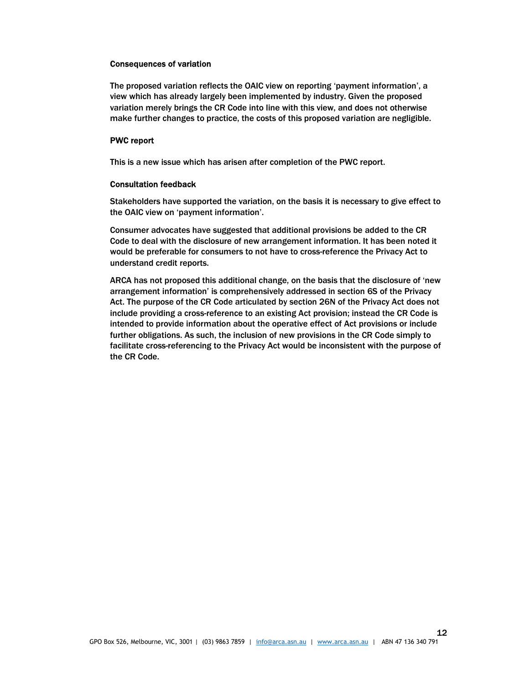## Consequences of variation

The proposed variation reflects the OAIC view on reporting 'payment information', a view which has already largely been implemented by industry. Given the proposed variation merely brings the CR Code into line with this view, and does not otherwise make further changes to practice, the costs of this proposed variation are negligible.

## PWC report

This is a new issue which has arisen after completion of the PWC report.

## Consultation feedback

Stakeholders have supported the variation, on the basis it is necessary to give effect to the OAIC view on 'payment information'.

Consumer advocates have suggested that additional provisions be added to the CR Code to deal with the disclosure of new arrangement information. It has been noted it would be preferable for consumers to not have to cross-reference the Privacy Act to understand credit reports.

ARCA has not proposed this additional change, on the basis that the disclosure of 'new arrangement information' is comprehensively addressed in section 6S of the Privacy Act. The purpose of the CR Code articulated by section 26N of the Privacy Act does not include providing a cross-reference to an existing Act provision; instead the CR Code is intended to provide information about the operative effect of Act provisions or include further obligations. As such, the inclusion of new provisions in the CR Code simply to facilitate cross-referencing to the Privacy Act would be inconsistent with the purpose of the CR Code.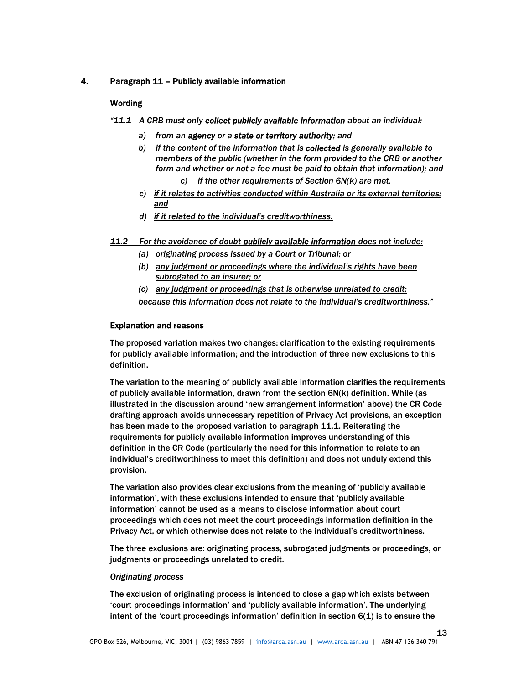# 4. Paragraph 11 – Publicly available information

## Wording

- "11.1 A CRB must only collect publicly available information about an individual:
	- a) from an agency or a state or territory authority; and
	- b) if the content of the information that is collected is generally available to members of the public (whether in the form provided to the CRB or another form and whether or not a fee must be paid to obtain that information); and

 $c)$  if the other requirements of Section 6N(k) are met.

- c) if it relates to activities conducted within Australia or its external territories; and
- d) if it related to the individual's creditworthiness.
- 11.2 For the avoidance of doubt publicly available information does not include:
	- (a) originating process issued by a Court or Tribunal; or
	- (b) any judgment or proceedings where the individual's rights have been subrogated to an insurer; or
	- (c) any judgment or proceedings that is otherwise unrelated to credit; because this information does not relate to the individual's creditworthiness."

#### Explanation and reasons

The proposed variation makes two changes: clarification to the existing requirements for publicly available information; and the introduction of three new exclusions to this definition.

The variation to the meaning of publicly available information clarifies the requirements of publicly available information, drawn from the section 6N(k) definition. While (as illustrated in the discussion around 'new arrangement information' above) the CR Code drafting approach avoids unnecessary repetition of Privacy Act provisions, an exception has been made to the proposed variation to paragraph 11.1. Reiterating the requirements for publicly available information improves understanding of this definition in the CR Code (particularly the need for this information to relate to an individual's creditworthiness to meet this definition) and does not unduly extend this provision.

The variation also provides clear exclusions from the meaning of 'publicly available information', with these exclusions intended to ensure that 'publicly available information' cannot be used as a means to disclose information about court proceedings which does not meet the court proceedings information definition in the Privacy Act, or which otherwise does not relate to the individual's creditworthiness.

The three exclusions are: originating process, subrogated judgments or proceedings, or judgments or proceedings unrelated to credit.

#### Originating process

The exclusion of originating process is intended to close a gap which exists between 'court proceedings information' and 'publicly available information'. The underlying intent of the 'court proceedings information' definition in section 6(1) is to ensure the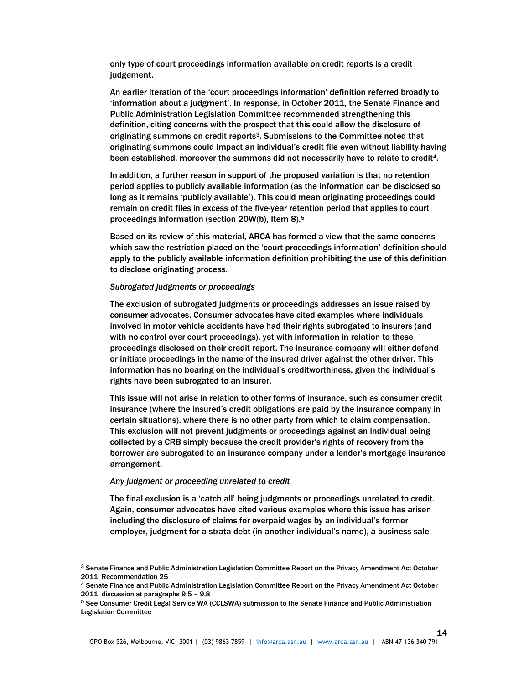only type of court proceedings information available on credit reports is a credit judgement.

An earlier iteration of the 'court proceedings information' definition referred broadly to 'information about a judgment'. In response, in October 2011, the Senate Finance and Public Administration Legislation Committee recommended strengthening this definition, citing concerns with the prospect that this could allow the disclosure of originating summons on credit reports3. Submissions to the Committee noted that originating summons could impact an individual's credit file even without liability having been established, moreover the summons did not necessarily have to relate to credit4.

In addition, a further reason in support of the proposed variation is that no retention period applies to publicly available information (as the information can be disclosed so long as it remains 'publicly available'). This could mean originating proceedings could remain on credit files in excess of the five-year retention period that applies to court proceedings information (section 20W(b), Item 8).<sup>5</sup>

Based on its review of this material, ARCA has formed a view that the same concerns which saw the restriction placed on the 'court proceedings information' definition should apply to the publicly available information definition prohibiting the use of this definition to disclose originating process.

#### Subrogated judgments or proceedings

The exclusion of subrogated judgments or proceedings addresses an issue raised by consumer advocates. Consumer advocates have cited examples where individuals involved in motor vehicle accidents have had their rights subrogated to insurers (and with no control over court proceedings), yet with information in relation to these proceedings disclosed on their credit report. The insurance company will either defend or initiate proceedings in the name of the insured driver against the other driver. This information has no bearing on the individual's creditworthiness, given the individual's rights have been subrogated to an insurer.

This issue will not arise in relation to other forms of insurance, such as consumer credit insurance (where the insured's credit obligations are paid by the insurance company in certain situations), where there is no other party from which to claim compensation. This exclusion will not prevent judgments or proceedings against an individual being collected by a CRB simply because the credit provider's rights of recovery from the borrower are subrogated to an insurance company under a lender's mortgage insurance arrangement.

#### Any judgment or proceeding unrelated to credit

-

The final exclusion is a 'catch all' being judgments or proceedings unrelated to credit. Again, consumer advocates have cited various examples where this issue has arisen including the disclosure of claims for overpaid wages by an individual's former employer, judgment for a strata debt (in another individual's name), a business sale

<sup>3</sup> Senate Finance and Public Administration Legislation Committee Report on the Privacy Amendment Act October 2011, Recommendation 25

<sup>4</sup> Senate Finance and Public Administration Legislation Committee Report on the Privacy Amendment Act October 2011, discussion at paragraphs 9.5 – 9.8

<sup>5</sup> See Consumer Credit Legal Service WA (CCLSWA) submission to the Senate Finance and Public Administration Legislation Committee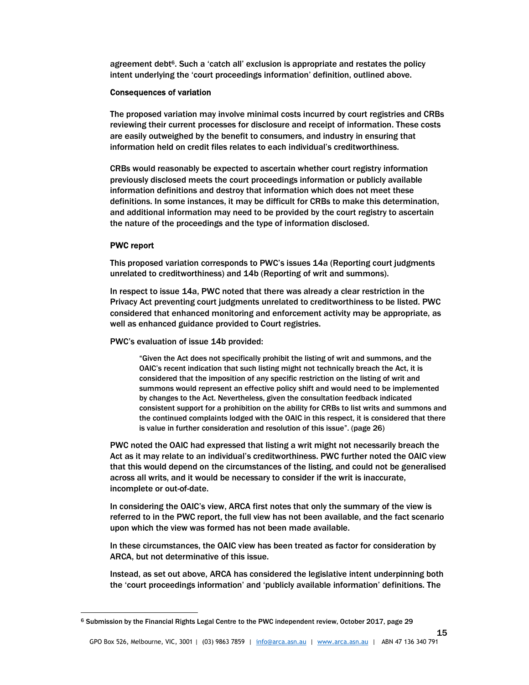agreement debt<sup> $6$ </sup>. Such a 'catch all' exclusion is appropriate and restates the policy intent underlying the 'court proceedings information' definition, outlined above.

#### Consequences of variation

The proposed variation may involve minimal costs incurred by court registries and CRBs reviewing their current processes for disclosure and receipt of information. These costs are easily outweighed by the benefit to consumers, and industry in ensuring that information held on credit files relates to each individual's creditworthiness.

CRBs would reasonably be expected to ascertain whether court registry information previously disclosed meets the court proceedings information or publicly available information definitions and destroy that information which does not meet these definitions. In some instances, it may be difficult for CRBs to make this determination, and additional information may need to be provided by the court registry to ascertain the nature of the proceedings and the type of information disclosed.

## PWC report

-

This proposed variation corresponds to PWC's issues 14a (Reporting court judgments unrelated to creditworthiness) and 14b (Reporting of writ and summons).

In respect to issue 14a, PWC noted that there was already a clear restriction in the Privacy Act preventing court judgments unrelated to creditworthiness to be listed. PWC considered that enhanced monitoring and enforcement activity may be appropriate, as well as enhanced guidance provided to Court registries.

PWC's evaluation of issue 14b provided:

"Given the Act does not specifically prohibit the listing of writ and summons, and the OAIC's recent indication that such listing might not technically breach the Act, it is considered that the imposition of any specific restriction on the listing of writ and summons would represent an effective policy shift and would need to be implemented by changes to the Act. Nevertheless, given the consultation feedback indicated consistent support for a prohibition on the ability for CRBs to list writs and summons and the continued complaints lodged with the OAIC in this respect, it is considered that there is value in further consideration and resolution of this issue". (page 26)

PWC noted the OAIC had expressed that listing a writ might not necessarily breach the Act as it may relate to an individual's creditworthiness. PWC further noted the OAIC view that this would depend on the circumstances of the listing, and could not be generalised across all writs, and it would be necessary to consider if the writ is inaccurate, incomplete or out-of-date.

In considering the OAIC's view, ARCA first notes that only the summary of the view is referred to in the PWC report, the full view has not been available, and the fact scenario upon which the view was formed has not been made available.

In these circumstances, the OAIC view has been treated as factor for consideration by ARCA, but not determinative of this issue.

Instead, as set out above, ARCA has considered the legislative intent underpinning both the 'court proceedings information' and 'publicly available information' definitions. The

<sup>6</sup> Submission by the Financial Rights Legal Centre to the PWC independent review, October 2017, page 29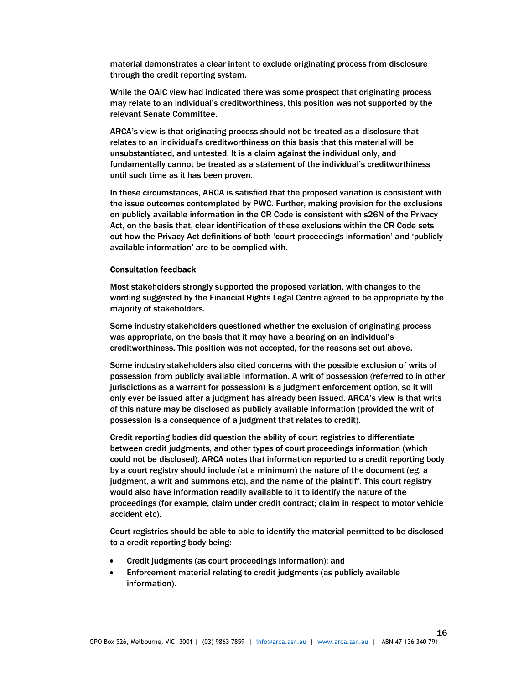material demonstrates a clear intent to exclude originating process from disclosure through the credit reporting system.

While the OAIC view had indicated there was some prospect that originating process may relate to an individual's creditworthiness, this position was not supported by the relevant Senate Committee.

ARCA's view is that originating process should not be treated as a disclosure that relates to an individual's creditworthiness on this basis that this material will be unsubstantiated, and untested. It is a claim against the individual only, and fundamentally cannot be treated as a statement of the individual's creditworthiness until such time as it has been proven.

In these circumstances, ARCA is satisfied that the proposed variation is consistent with the issue outcomes contemplated by PWC. Further, making provision for the exclusions on publicly available information in the CR Code is consistent with s26N of the Privacy Act, on the basis that, clear identification of these exclusions within the CR Code sets out how the Privacy Act definitions of both 'court proceedings information' and 'publicly available information' are to be complied with.

#### Consultation feedback

Most stakeholders strongly supported the proposed variation, with changes to the wording suggested by the Financial Rights Legal Centre agreed to be appropriate by the majority of stakeholders.

Some industry stakeholders questioned whether the exclusion of originating process was appropriate, on the basis that it may have a bearing on an individual's creditworthiness. This position was not accepted, for the reasons set out above.

Some industry stakeholders also cited concerns with the possible exclusion of writs of possession from publicly available information. A writ of possession (referred to in other jurisdictions as a warrant for possession) is a judgment enforcement option, so it will only ever be issued after a judgment has already been issued. ARCA's view is that writs of this nature may be disclosed as publicly available information (provided the writ of possession is a consequence of a judgment that relates to credit).

Credit reporting bodies did question the ability of court registries to differentiate between credit judgments, and other types of court proceedings information (which could not be disclosed). ARCA notes that information reported to a credit reporting body by a court registry should include (at a minimum) the nature of the document (eg. a judgment, a writ and summons etc), and the name of the plaintiff. This court registry would also have information readily available to it to identify the nature of the proceedings (for example, claim under credit contract; claim in respect to motor vehicle accident etc).

Court registries should be able to able to identify the material permitted to be disclosed to a credit reporting body being:

- Credit judgments (as court proceedings information); and
- Enforcement material relating to credit judgments (as publicly available information).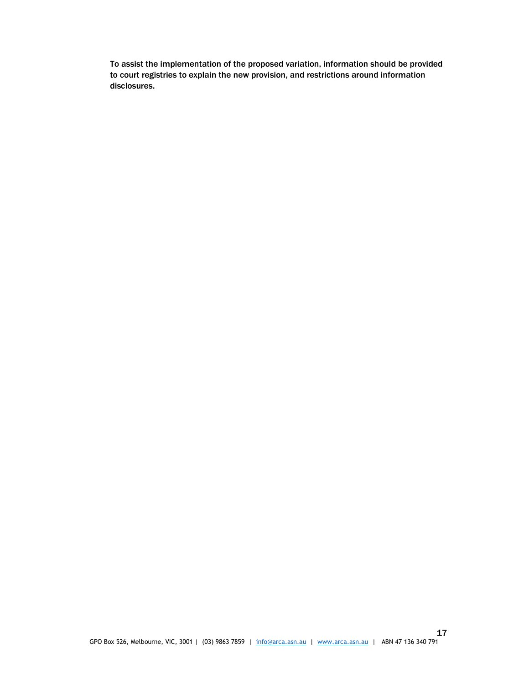To assist the implementation of the proposed variation, information should be provided to court registries to explain the new provision, and restrictions around information disclosures.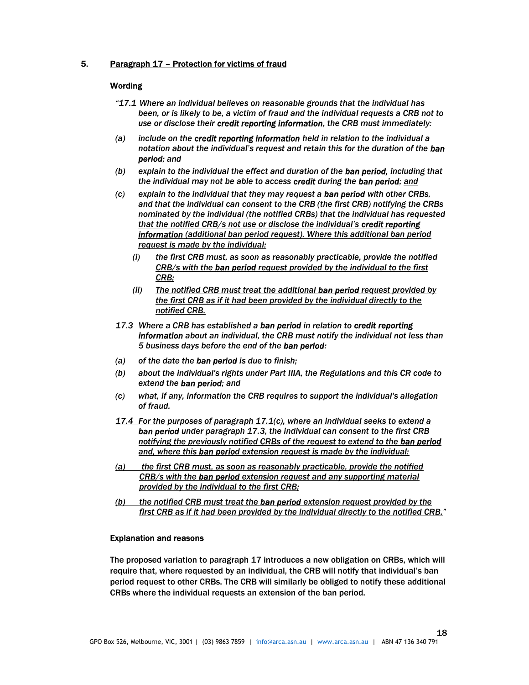## 5. Paragraph 17 – Protection for victims of fraud

## **Wording**

- "17.1 Where an individual believes on reasonable grounds that the individual has been, or is likely to be, a victim of fraud and the individual requests a CRB not to use or disclose their credit reporting information, the CRB must immediately:
- (a) include on the credit reporting information held in relation to the individual a notation about the individual's request and retain this for the duration of the ban period; and
- (b) explain to the individual the effect and duration of the ban period, including that the individual may not be able to access credit during the ban period; and
- (c) explain to the individual that they may request a ban period with other CRBs, and that the individual can consent to the CRB (the first CRB) notifying the CRBs nominated by the individual (the notified CRBs) that the individual has requested that the notified CRB/s not use or disclose the individual's credit reporting information (additional ban period request). Where this additional ban period request is made by the individual:
	- $(i)$  the first CRB must, as soon as reasonably practicable, provide the notified CRB/s with the ban period request provided by the individual to the first CRB;
	- (ii) The notified CRB must treat the additional ban period request provided by the first CRB as if it had been provided by the individual directly to the notified CRB.
- 17.3 Where a CRB has established a ban period in relation to credit reporting information about an individual, the CRB must notify the individual not less than 5 business days before the end of the ban period:
- $(a)$  of the date the **ban period** is due to finish;
- (b) about the individual's rights under Part IIIA, the Regulations and this CR code to extend the **ban period**; and
- (c) what, if any, information the CRB requires to support the individual's allegation of fraud.
- 17.4 For the purposes of paragraph 17.1(c), where an individual seeks to extend a ban period under paragraph 17.3, the individual can consent to the first CRB notifying the previously notified CRBs of the request to extend to the ban period and, where this ban period extension request is made by the individual:
- (a) the first CRB must, as soon as reasonably practicable, provide the notified CRB/s with the ban period extension request and any supporting material provided by the individual to the first CRB;
- (b) the notified CRB must treat the **ban period** extension request provided by the first CRB as if it had been provided by the individual directly to the notified CRB."

## Explanation and reasons

The proposed variation to paragraph 17 introduces a new obligation on CRBs, which will require that, where requested by an individual, the CRB will notify that individual's ban period request to other CRBs. The CRB will similarly be obliged to notify these additional CRBs where the individual requests an extension of the ban period.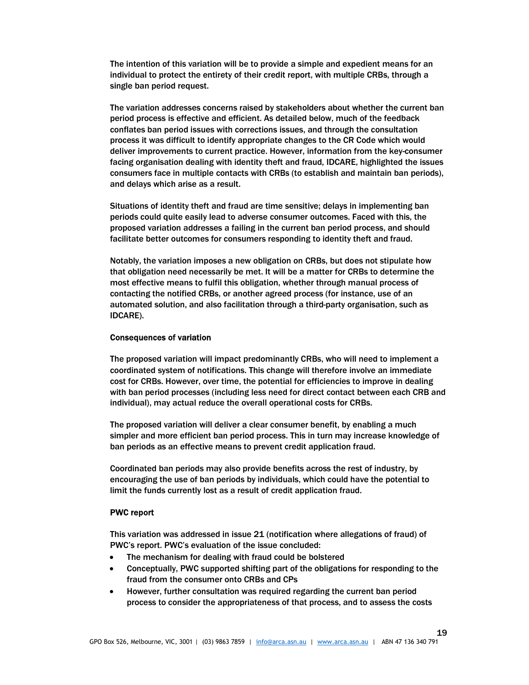The intention of this variation will be to provide a simple and expedient means for an individual to protect the entirety of their credit report, with multiple CRBs, through a single ban period request.

The variation addresses concerns raised by stakeholders about whether the current ban period process is effective and efficient. As detailed below, much of the feedback conflates ban period issues with corrections issues, and through the consultation process it was difficult to identify appropriate changes to the CR Code which would deliver improvements to current practice. However, information from the key-consumer facing organisation dealing with identity theft and fraud, IDCARE, highlighted the issues consumers face in multiple contacts with CRBs (to establish and maintain ban periods), and delays which arise as a result.

Situations of identity theft and fraud are time sensitive; delays in implementing ban periods could quite easily lead to adverse consumer outcomes. Faced with this, the proposed variation addresses a failing in the current ban period process, and should facilitate better outcomes for consumers responding to identity theft and fraud.

Notably, the variation imposes a new obligation on CRBs, but does not stipulate how that obligation need necessarily be met. It will be a matter for CRBs to determine the most effective means to fulfil this obligation, whether through manual process of contacting the notified CRBs, or another agreed process (for instance, use of an automated solution, and also facilitation through a third-party organisation, such as IDCARE).

#### Consequences of variation

The proposed variation will impact predominantly CRBs, who will need to implement a coordinated system of notifications. This change will therefore involve an immediate cost for CRBs. However, over time, the potential for efficiencies to improve in dealing with ban period processes (including less need for direct contact between each CRB and individual), may actual reduce the overall operational costs for CRBs.

The proposed variation will deliver a clear consumer benefit, by enabling a much simpler and more efficient ban period process. This in turn may increase knowledge of ban periods as an effective means to prevent credit application fraud.

Coordinated ban periods may also provide benefits across the rest of industry, by encouraging the use of ban periods by individuals, which could have the potential to limit the funds currently lost as a result of credit application fraud.

#### PWC report

This variation was addressed in issue 21 (notification where allegations of fraud) of PWC's report. PWC's evaluation of the issue concluded:

- The mechanism for dealing with fraud could be bolstered
- Conceptually, PWC supported shifting part of the obligations for responding to the fraud from the consumer onto CRBs and CPs
- However, further consultation was required regarding the current ban period process to consider the appropriateness of that process, and to assess the costs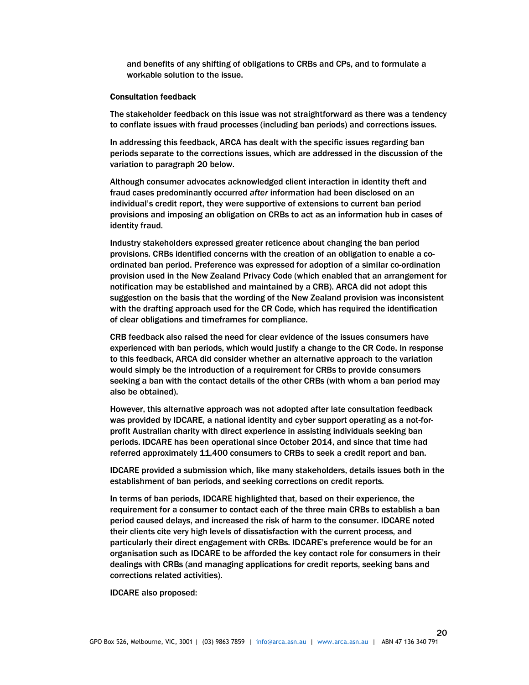and benefits of any shifting of obligations to CRBs and CPs, and to formulate a workable solution to the issue.

#### Consultation feedback

The stakeholder feedback on this issue was not straightforward as there was a tendency to conflate issues with fraud processes (including ban periods) and corrections issues.

In addressing this feedback, ARCA has dealt with the specific issues regarding ban periods separate to the corrections issues, which are addressed in the discussion of the variation to paragraph 20 below.

Although consumer advocates acknowledged client interaction in identity theft and fraud cases predominantly occurred after information had been disclosed on an individual's credit report, they were supportive of extensions to current ban period provisions and imposing an obligation on CRBs to act as an information hub in cases of identity fraud.

Industry stakeholders expressed greater reticence about changing the ban period provisions. CRBs identified concerns with the creation of an obligation to enable a coordinated ban period. Preference was expressed for adoption of a similar co-ordination provision used in the New Zealand Privacy Code (which enabled that an arrangement for notification may be established and maintained by a CRB). ARCA did not adopt this suggestion on the basis that the wording of the New Zealand provision was inconsistent with the drafting approach used for the CR Code, which has required the identification of clear obligations and timeframes for compliance.

CRB feedback also raised the need for clear evidence of the issues consumers have experienced with ban periods, which would justify a change to the CR Code. In response to this feedback, ARCA did consider whether an alternative approach to the variation would simply be the introduction of a requirement for CRBs to provide consumers seeking a ban with the contact details of the other CRBs (with whom a ban period may also be obtained).

However, this alternative approach was not adopted after late consultation feedback was provided by IDCARE, a national identity and cyber support operating as a not-forprofit Australian charity with direct experience in assisting individuals seeking ban periods. IDCARE has been operational since October 2014, and since that time had referred approximately 11,400 consumers to CRBs to seek a credit report and ban.

IDCARE provided a submission which, like many stakeholders, details issues both in the establishment of ban periods, and seeking corrections on credit reports.

In terms of ban periods, IDCARE highlighted that, based on their experience, the requirement for a consumer to contact each of the three main CRBs to establish a ban period caused delays, and increased the risk of harm to the consumer. IDCARE noted their clients cite very high levels of dissatisfaction with the current process, and particularly their direct engagement with CRBs. IDCARE's preference would be for an organisation such as IDCARE to be afforded the key contact role for consumers in their dealings with CRBs (and managing applications for credit reports, seeking bans and corrections related activities).

IDCARE also proposed: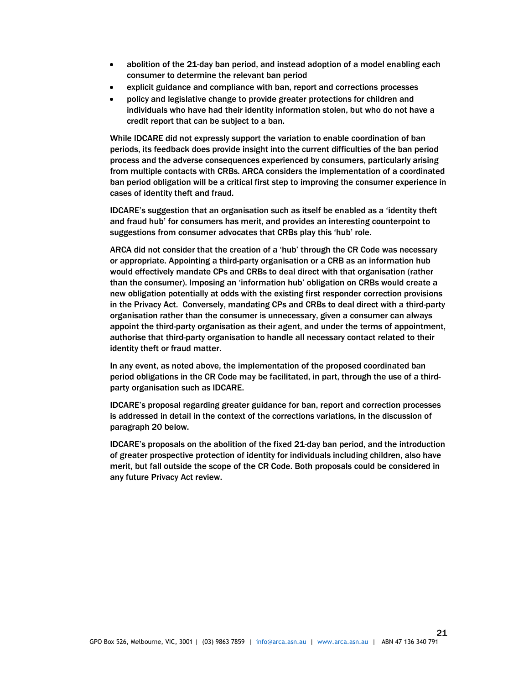- abolition of the 21-day ban period, and instead adoption of a model enabling each consumer to determine the relevant ban period
- explicit guidance and compliance with ban, report and corrections processes
- policy and legislative change to provide greater protections for children and individuals who have had their identity information stolen, but who do not have a credit report that can be subject to a ban.

While IDCARE did not expressly support the variation to enable coordination of ban periods, its feedback does provide insight into the current difficulties of the ban period process and the adverse consequences experienced by consumers, particularly arising from multiple contacts with CRBs. ARCA considers the implementation of a coordinated ban period obligation will be a critical first step to improving the consumer experience in cases of identity theft and fraud.

IDCARE's suggestion that an organisation such as itself be enabled as a 'identity theft and fraud hub' for consumers has merit, and provides an interesting counterpoint to suggestions from consumer advocates that CRBs play this 'hub' role.

ARCA did not consider that the creation of a 'hub' through the CR Code was necessary or appropriate. Appointing a third-party organisation or a CRB as an information hub would effectively mandate CPs and CRBs to deal direct with that organisation (rather than the consumer). Imposing an 'information hub' obligation on CRBs would create a new obligation potentially at odds with the existing first responder correction provisions in the Privacy Act. Conversely, mandating CPs and CRBs to deal direct with a third-party organisation rather than the consumer is unnecessary, given a consumer can always appoint the third-party organisation as their agent, and under the terms of appointment, authorise that third-party organisation to handle all necessary contact related to their identity theft or fraud matter.

In any event, as noted above, the implementation of the proposed coordinated ban period obligations in the CR Code may be facilitated, in part, through the use of a thirdparty organisation such as IDCARE.

IDCARE's proposal regarding greater guidance for ban, report and correction processes is addressed in detail in the context of the corrections variations, in the discussion of paragraph 20 below.

IDCARE's proposals on the abolition of the fixed 21-day ban period, and the introduction of greater prospective protection of identity for individuals including children, also have merit, but fall outside the scope of the CR Code. Both proposals could be considered in any future Privacy Act review.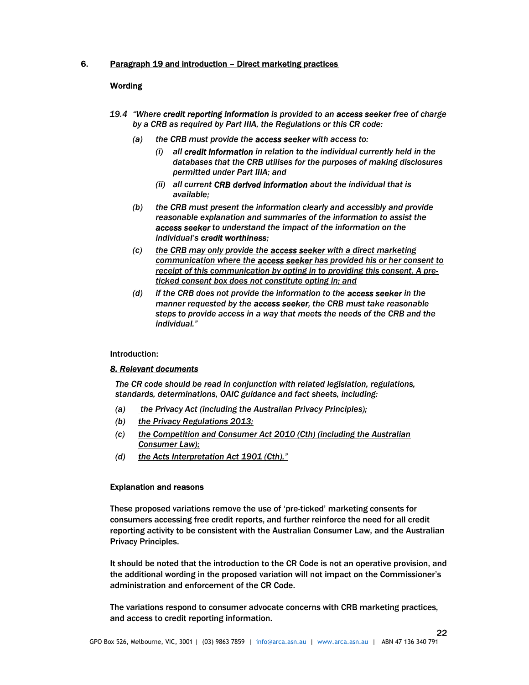## 6. Paragraph 19 and introduction – Direct marketing practices

# Wording

- 19.4 "Where credit reporting information is provided to an access seeker free of charge by a CRB as required by Part IIIA, the Regulations or this CR code:
	- (a) the CRB must provide the **access seeker** with access to:
		- (i) all credit information in relation to the individual currently held in the databases that the CRB utilises for the purposes of making disclosures permitted under Part IIIA; and
		- (ii) all current CRB derived information about the individual that is available;
	- (b) the CRB must present the information clearly and accessibly and provide reasonable explanation and summaries of the information to assist the access seeker to understand the impact of the information on the individual's credit worthiness;
	- $(c)$  the CRB may only provide the **access seeker** with a direct marketing communication where the access seeker has provided his or her consent to receipt of this communication by opting in to providing this consent. A preticked consent box does not constitute opting in; and
	- (d) if the CRB does not provide the information to the access seeker in the manner requested by the **access seeker**, the CRB must take reasonable steps to provide access in a way that meets the needs of the CRB and the individual."

Introduction:

#### 8. Relevant documents

The CR code should be read in conjunction with related legislation, regulations, standards, determinations, OAIC guidance and fact sheets, including:

- (a) the Privacy Act (including the Australian Privacy Principles);
- (b) the Privacy Regulations 2013;
- (c) the Competition and Consumer Act 2010 (Cth) (including the Australian Consumer Law);
- (d) the Acts Interpretation Act 1901 (Cth)."

#### Explanation and reasons

These proposed variations remove the use of 'pre-ticked' marketing consents for consumers accessing free credit reports, and further reinforce the need for all credit reporting activity to be consistent with the Australian Consumer Law, and the Australian Privacy Principles.

It should be noted that the introduction to the CR Code is not an operative provision, and the additional wording in the proposed variation will not impact on the Commissioner's administration and enforcement of the CR Code.

The variations respond to consumer advocate concerns with CRB marketing practices, and access to credit reporting information.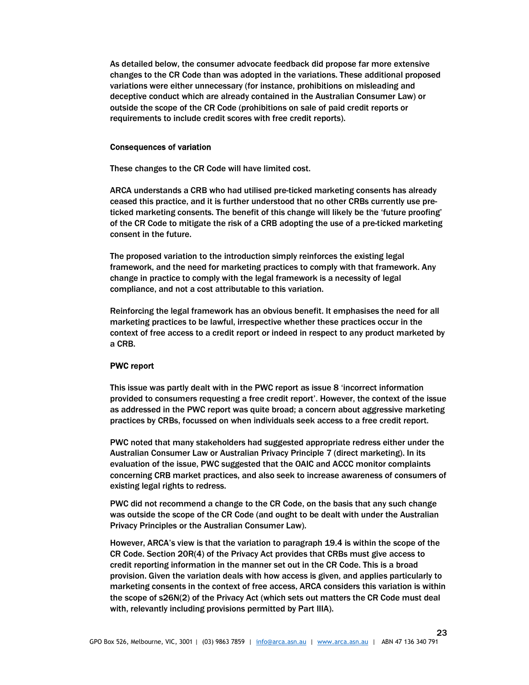As detailed below, the consumer advocate feedback did propose far more extensive changes to the CR Code than was adopted in the variations. These additional proposed variations were either unnecessary (for instance, prohibitions on misleading and deceptive conduct which are already contained in the Australian Consumer Law) or outside the scope of the CR Code (prohibitions on sale of paid credit reports or requirements to include credit scores with free credit reports).

#### Consequences of variation

These changes to the CR Code will have limited cost.

ARCA understands a CRB who had utilised pre-ticked marketing consents has already ceased this practice, and it is further understood that no other CRBs currently use preticked marketing consents. The benefit of this change will likely be the 'future proofing' of the CR Code to mitigate the risk of a CRB adopting the use of a pre-ticked marketing consent in the future.

The proposed variation to the introduction simply reinforces the existing legal framework, and the need for marketing practices to comply with that framework. Any change in practice to comply with the legal framework is a necessity of legal compliance, and not a cost attributable to this variation.

Reinforcing the legal framework has an obvious benefit. It emphasises the need for all marketing practices to be lawful, irrespective whether these practices occur in the context of free access to a credit report or indeed in respect to any product marketed by a CRB.

## PWC report

This issue was partly dealt with in the PWC report as issue 8 'incorrect information provided to consumers requesting a free credit report'. However, the context of the issue as addressed in the PWC report was quite broad; a concern about aggressive marketing practices by CRBs, focussed on when individuals seek access to a free credit report.

PWC noted that many stakeholders had suggested appropriate redress either under the Australian Consumer Law or Australian Privacy Principle 7 (direct marketing). In its evaluation of the issue, PWC suggested that the OAIC and ACCC monitor complaints concerning CRB market practices, and also seek to increase awareness of consumers of existing legal rights to redress.

PWC did not recommend a change to the CR Code, on the basis that any such change was outside the scope of the CR Code (and ought to be dealt with under the Australian Privacy Principles or the Australian Consumer Law).

However, ARCA's view is that the variation to paragraph 19.4 is within the scope of the CR Code. Section 20R(4) of the Privacy Act provides that CRBs must give access to credit reporting information in the manner set out in the CR Code. This is a broad provision. Given the variation deals with how access is given, and applies particularly to marketing consents in the context of free access, ARCA considers this variation is within the scope of s26N(2) of the Privacy Act (which sets out matters the CR Code must deal with, relevantly including provisions permitted by Part IIIA).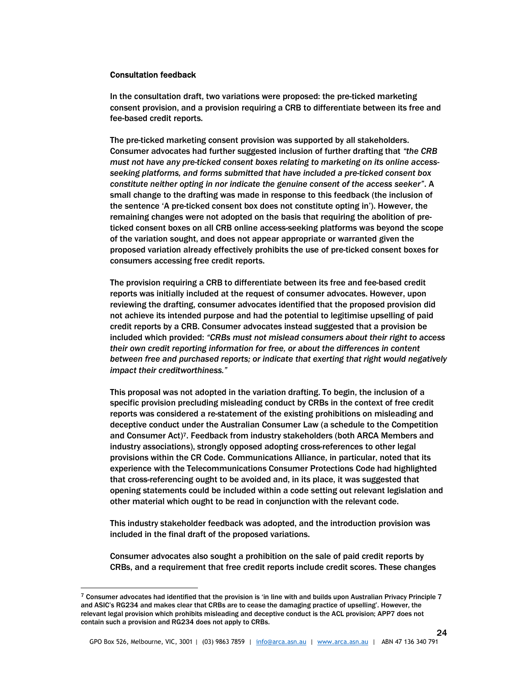#### Consultation feedback

-

In the consultation draft, two variations were proposed: the pre-ticked marketing consent provision, and a provision requiring a CRB to differentiate between its free and fee-based credit reports.

The pre-ticked marketing consent provision was supported by all stakeholders. Consumer advocates had further suggested inclusion of further drafting that "the CRB must not have any pre-ticked consent boxes relating to marketing on its online accessseeking platforms, and forms submitted that have included a pre-ticked consent box constitute neither opting in nor indicate the genuine consent of the access seeker". A small change to the drafting was made in response to this feedback (the inclusion of the sentence 'A pre-ticked consent box does not constitute opting in'). However, the remaining changes were not adopted on the basis that requiring the abolition of preticked consent boxes on all CRB online access-seeking platforms was beyond the scope of the variation sought, and does not appear appropriate or warranted given the proposed variation already effectively prohibits the use of pre-ticked consent boxes for consumers accessing free credit reports.

The provision requiring a CRB to differentiate between its free and fee-based credit reports was initially included at the request of consumer advocates. However, upon reviewing the drafting, consumer advocates identified that the proposed provision did not achieve its intended purpose and had the potential to legitimise upselling of paid credit reports by a CRB. Consumer advocates instead suggested that a provision be included which provided: "CRBs must not mislead consumers about their right to access their own credit reporting information for free, or about the differences in content between free and purchased reports; or indicate that exerting that right would negatively impact their creditworthiness."

This proposal was not adopted in the variation drafting. To begin, the inclusion of a specific provision precluding misleading conduct by CRBs in the context of free credit reports was considered a re-statement of the existing prohibitions on misleading and deceptive conduct under the Australian Consumer Law (a schedule to the Competition and Consumer Act)7. Feedback from industry stakeholders (both ARCA Members and industry associations), strongly opposed adopting cross-references to other legal provisions within the CR Code. Communications Alliance, in particular, noted that its experience with the Telecommunications Consumer Protections Code had highlighted that cross-referencing ought to be avoided and, in its place, it was suggested that opening statements could be included within a code setting out relevant legislation and other material which ought to be read in conjunction with the relevant code.

This industry stakeholder feedback was adopted, and the introduction provision was included in the final draft of the proposed variations.

Consumer advocates also sought a prohibition on the sale of paid credit reports by CRBs, and a requirement that free credit reports include credit scores. These changes

 $7$  Consumer advocates had identified that the provision is 'in line with and builds upon Australian Privacy Principle 7 and ASIC's RG234 and makes clear that CRBs are to cease the damaging practice of upselling'. However, the relevant legal provision which prohibits misleading and deceptive conduct is the ACL provision; APP7 does not contain such a provision and RG234 does not apply to CRBs.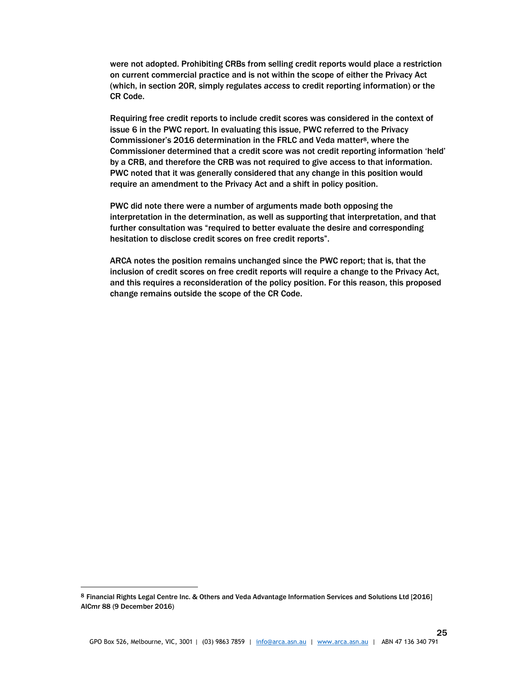were not adopted. Prohibiting CRBs from selling credit reports would place a restriction on current commercial practice and is not within the scope of either the Privacy Act (which, in section 20R, simply regulates access to credit reporting information) or the CR Code.

Requiring free credit reports to include credit scores was considered in the context of issue 6 in the PWC report. In evaluating this issue, PWC referred to the Privacy Commissioner's 2016 determination in the FRLC and Veda matter8, where the Commissioner determined that a credit score was not credit reporting information 'held' by a CRB, and therefore the CRB was not required to give access to that information. PWC noted that it was generally considered that any change in this position would require an amendment to the Privacy Act and a shift in policy position.

PWC did note there were a number of arguments made both opposing the interpretation in the determination, as well as supporting that interpretation, and that further consultation was "required to better evaluate the desire and corresponding hesitation to disclose credit scores on free credit reports".

ARCA notes the position remains unchanged since the PWC report; that is, that the inclusion of credit scores on free credit reports will require a change to the Privacy Act, and this requires a reconsideration of the policy position. For this reason, this proposed change remains outside the scope of the CR Code.

-

<sup>8</sup> Financial Rights Legal Centre Inc. & Others and Veda Advantage Information Services and Solutions Ltd [2016] AICmr 88 (9 December 2016)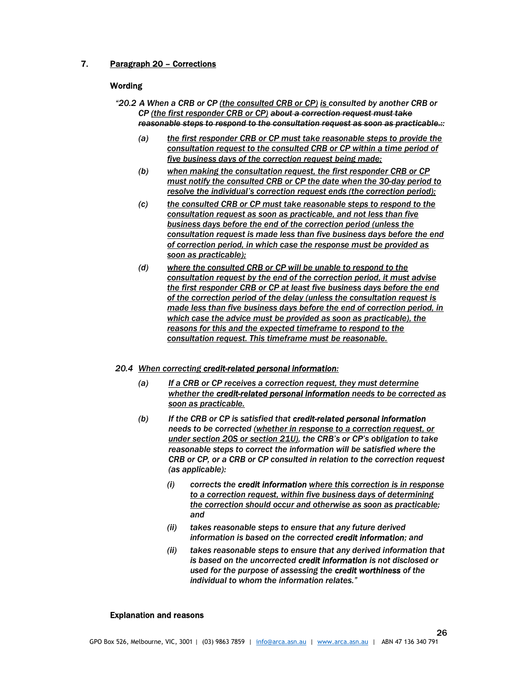# 7. Paragraph 20 – Corrections

## **Wording**

- "20.2 A When a CRB or CP (the consulted CRB or CP) is consulted by another CRB or CP (the first responder CRB or CP) about a correction request must take reasonable steps to respond to the consultation request as soon as practicable.::
	- (a) the first responder CRB or CP must take reasonable steps to provide the consultation request to the consulted CRB or CP within a time period of five business days of the correction request being made;
	- (b) when making the consultation request, the first responder CRB or CP must notify the consulted CRB or CP the date when the 30-day period to resolve the individual's correction request ends (the correction period);
	- (c) the consulted CRB or CP must take reasonable steps to respond to the consultation request as soon as practicable, and not less than five business days before the end of the correction period (unless the consultation request is made less than five business days before the end of correction period, in which case the response must be provided as soon as practicable);
	- (d) where the consulted CRB or CP will be unable to respond to the consultation request by the end of the correction period, it must advise the first responder CRB or CP at least five business days before the end of the correction period of the delay (unless the consultation request is made less than five business days before the end of correction period, in which case the advice must be provided as soon as practicable), the reasons for this and the expected timeframe to respond to the consultation request. This timeframe must be reasonable.

#### 20.4 When correcting credit-related personal information:

- (a) If a CRB or CP receives a correction request, they must determine whether the credit-related personal information needs to be corrected as soon as practicable.
- (b) If the CRB or CP is satisfied that credit-related personal information needs to be corrected (whether in response to a correction request, or under section 20S or section 21U), the CRB's or CP's obligation to take reasonable steps to correct the information will be satisfied where the CRB or CP, or a CRB or CP consulted in relation to the correction request (as applicable):
	- (i) corrects the credit information where this correction is in response to a correction request, within five business days of determining the correction should occur and otherwise as soon as practicable; and
	- (ii) takes reasonable steps to ensure that any future derived information is based on the corrected credit information; and
	- (ii) takes reasonable steps to ensure that any derived information that is based on the uncorrected credit information is not disclosed or used for the purpose of assessing the credit worthiness of the individual to whom the information relates."

26

#### Explanation and reasons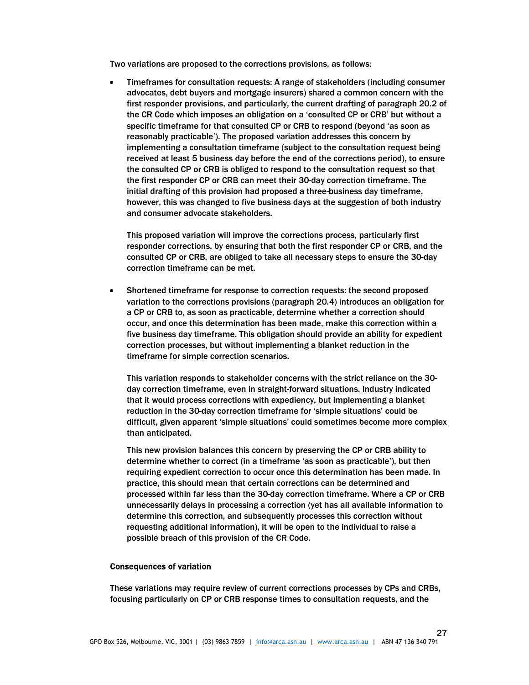Two variations are proposed to the corrections provisions, as follows:

 Timeframes for consultation requests: A range of stakeholders (including consumer advocates, debt buyers and mortgage insurers) shared a common concern with the first responder provisions, and particularly, the current drafting of paragraph 20.2 of the CR Code which imposes an obligation on a 'consulted CP or CRB' but without a specific timeframe for that consulted CP or CRB to respond (beyond 'as soon as reasonably practicable'). The proposed variation addresses this concern by implementing a consultation timeframe (subject to the consultation request being received at least 5 business day before the end of the corrections period), to ensure the consulted CP or CRB is obliged to respond to the consultation request so that the first responder CP or CRB can meet their 30-day correction timeframe. The initial drafting of this provision had proposed a three-business day timeframe, however, this was changed to five business days at the suggestion of both industry and consumer advocate stakeholders.

This proposed variation will improve the corrections process, particularly first responder corrections, by ensuring that both the first responder CP or CRB, and the consulted CP or CRB, are obliged to take all necessary steps to ensure the 30-day correction timeframe can be met.

 Shortened timeframe for response to correction requests: the second proposed variation to the corrections provisions (paragraph 20.4) introduces an obligation for a CP or CRB to, as soon as practicable, determine whether a correction should occur, and once this determination has been made, make this correction within a five business day timeframe. This obligation should provide an ability for expedient correction processes, but without implementing a blanket reduction in the timeframe for simple correction scenarios.

This variation responds to stakeholder concerns with the strict reliance on the 30 day correction timeframe, even in straight-forward situations. Industry indicated that it would process corrections with expediency, but implementing a blanket reduction in the 30-day correction timeframe for 'simple situations' could be difficult, given apparent 'simple situations' could sometimes become more complex than anticipated.

This new provision balances this concern by preserving the CP or CRB ability to determine whether to correct (in a timeframe 'as soon as practicable'), but then requiring expedient correction to occur once this determination has been made. In practice, this should mean that certain corrections can be determined and processed within far less than the 30-day correction timeframe. Where a CP or CRB unnecessarily delays in processing a correction (yet has all available information to determine this correction, and subsequently processes this correction without requesting additional information), it will be open to the individual to raise a possible breach of this provision of the CR Code.

## Consequences of variation

These variations may require review of current corrections processes by CPs and CRBs, focusing particularly on CP or CRB response times to consultation requests, and the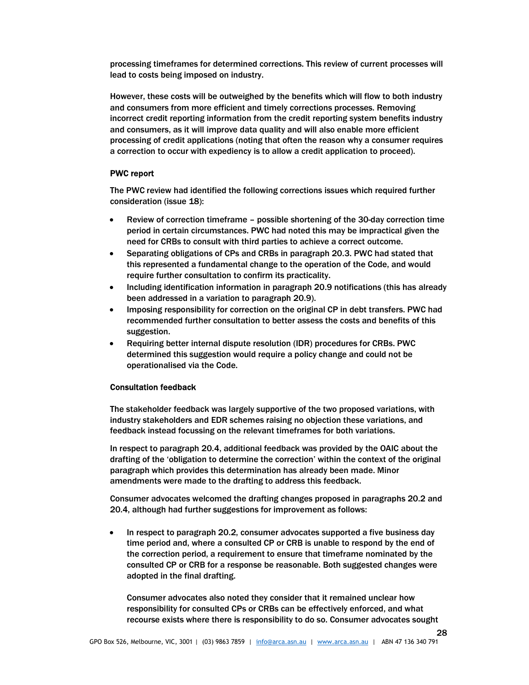processing timeframes for determined corrections. This review of current processes will lead to costs being imposed on industry.

However, these costs will be outweighed by the benefits which will flow to both industry and consumers from more efficient and timely corrections processes. Removing incorrect credit reporting information from the credit reporting system benefits industry and consumers, as it will improve data quality and will also enable more efficient processing of credit applications (noting that often the reason why a consumer requires a correction to occur with expediency is to allow a credit application to proceed).

## PWC report

The PWC review had identified the following corrections issues which required further consideration (issue 18):

- Review of correction timeframe possible shortening of the 30-day correction time period in certain circumstances. PWC had noted this may be impractical given the need for CRBs to consult with third parties to achieve a correct outcome.
- Separating obligations of CPs and CRBs in paragraph 20.3. PWC had stated that this represented a fundamental change to the operation of the Code, and would require further consultation to confirm its practicality.
- Including identification information in paragraph 20.9 notifications (this has already been addressed in a variation to paragraph 20.9).
- Imposing responsibility for correction on the original CP in debt transfers. PWC had recommended further consultation to better assess the costs and benefits of this suggestion.
- Requiring better internal dispute resolution (IDR) procedures for CRBs. PWC determined this suggestion would require a policy change and could not be operationalised via the Code.

## Consultation feedback

The stakeholder feedback was largely supportive of the two proposed variations, with industry stakeholders and EDR schemes raising no objection these variations, and feedback instead focussing on the relevant timeframes for both variations.

In respect to paragraph 20.4, additional feedback was provided by the OAIC about the drafting of the 'obligation to determine the correction' within the context of the original paragraph which provides this determination has already been made. Minor amendments were made to the drafting to address this feedback.

Consumer advocates welcomed the drafting changes proposed in paragraphs 20.2 and 20.4, although had further suggestions for improvement as follows:

 In respect to paragraph 20.2, consumer advocates supported a five business day time period and, where a consulted CP or CRB is unable to respond by the end of the correction period, a requirement to ensure that timeframe nominated by the consulted CP or CRB for a response be reasonable. Both suggested changes were adopted in the final drafting.

Consumer advocates also noted they consider that it remained unclear how responsibility for consulted CPs or CRBs can be effectively enforced, and what recourse exists where there is responsibility to do so. Consumer advocates sought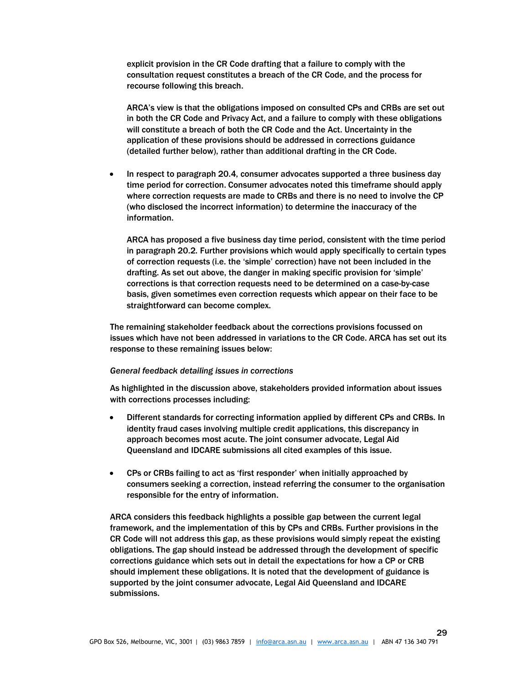explicit provision in the CR Code drafting that a failure to comply with the consultation request constitutes a breach of the CR Code, and the process for recourse following this breach.

ARCA's view is that the obligations imposed on consulted CPs and CRBs are set out in both the CR Code and Privacy Act, and a failure to comply with these obligations will constitute a breach of both the CR Code and the Act. Uncertainty in the application of these provisions should be addressed in corrections guidance (detailed further below), rather than additional drafting in the CR Code.

• In respect to paragraph 20.4, consumer advocates supported a three business day time period for correction. Consumer advocates noted this timeframe should apply where correction requests are made to CRBs and there is no need to involve the CP (who disclosed the incorrect information) to determine the inaccuracy of the information.

ARCA has proposed a five business day time period, consistent with the time period in paragraph 20.2. Further provisions which would apply specifically to certain types of correction requests (i.e. the 'simple' correction) have not been included in the drafting. As set out above, the danger in making specific provision for 'simple' corrections is that correction requests need to be determined on a case-by-case basis, given sometimes even correction requests which appear on their face to be straightforward can become complex.

The remaining stakeholder feedback about the corrections provisions focussed on issues which have not been addressed in variations to the CR Code. ARCA has set out its response to these remaining issues below:

#### General feedback detailing issues in corrections

As highlighted in the discussion above, stakeholders provided information about issues with corrections processes including:

- Different standards for correcting information applied by different CPs and CRBs. In identity fraud cases involving multiple credit applications, this discrepancy in approach becomes most acute. The joint consumer advocate, Legal Aid Queensland and IDCARE submissions all cited examples of this issue.
- CPs or CRBs failing to act as 'first responder' when initially approached by consumers seeking a correction, instead referring the consumer to the organisation responsible for the entry of information.

ARCA considers this feedback highlights a possible gap between the current legal framework, and the implementation of this by CPs and CRBs. Further provisions in the CR Code will not address this gap, as these provisions would simply repeat the existing obligations. The gap should instead be addressed through the development of specific corrections guidance which sets out in detail the expectations for how a CP or CRB should implement these obligations. It is noted that the development of guidance is supported by the joint consumer advocate, Legal Aid Queensland and IDCARE submissions.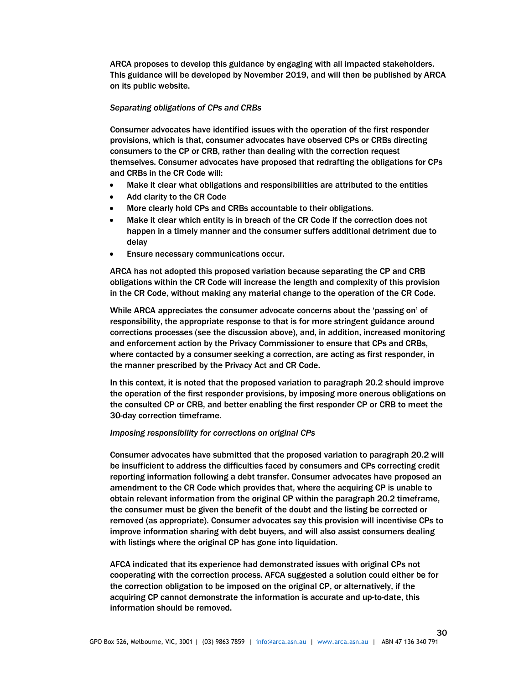ARCA proposes to develop this guidance by engaging with all impacted stakeholders. This guidance will be developed by November 2019, and will then be published by ARCA on its public website.

#### Separating obligations of CPs and CRBs

Consumer advocates have identified issues with the operation of the first responder provisions, which is that, consumer advocates have observed CPs or CRBs directing consumers to the CP or CRB, rather than dealing with the correction request themselves. Consumer advocates have proposed that redrafting the obligations for CPs and CRBs in the CR Code will:

- Make it clear what obligations and responsibilities are attributed to the entities
- Add clarity to the CR Code
- More clearly hold CPs and CRBs accountable to their obligations.
- Make it clear which entity is in breach of the CR Code if the correction does not happen in a timely manner and the consumer suffers additional detriment due to delay
- Ensure necessary communications occur.

ARCA has not adopted this proposed variation because separating the CP and CRB obligations within the CR Code will increase the length and complexity of this provision in the CR Code, without making any material change to the operation of the CR Code.

While ARCA appreciates the consumer advocate concerns about the 'passing on' of responsibility, the appropriate response to that is for more stringent guidance around corrections processes (see the discussion above), and, in addition, increased monitoring and enforcement action by the Privacy Commissioner to ensure that CPs and CRBs, where contacted by a consumer seeking a correction, are acting as first responder, in the manner prescribed by the Privacy Act and CR Code.

In this context, it is noted that the proposed variation to paragraph 20.2 should improve the operation of the first responder provisions, by imposing more onerous obligations on the consulted CP or CRB, and better enabling the first responder CP or CRB to meet the 30-day correction timeframe.

#### Imposing responsibility for corrections on original CPs

Consumer advocates have submitted that the proposed variation to paragraph 20.2 will be insufficient to address the difficulties faced by consumers and CPs correcting credit reporting information following a debt transfer. Consumer advocates have proposed an amendment to the CR Code which provides that, where the acquiring CP is unable to obtain relevant information from the original CP within the paragraph 20.2 timeframe, the consumer must be given the benefit of the doubt and the listing be corrected or removed (as appropriate). Consumer advocates say this provision will incentivise CPs to improve information sharing with debt buyers, and will also assist consumers dealing with listings where the original CP has gone into liquidation.

AFCA indicated that its experience had demonstrated issues with original CPs not cooperating with the correction process. AFCA suggested a solution could either be for the correction obligation to be imposed on the original CP, or alternatively, if the acquiring CP cannot demonstrate the information is accurate and up-to-date, this information should be removed.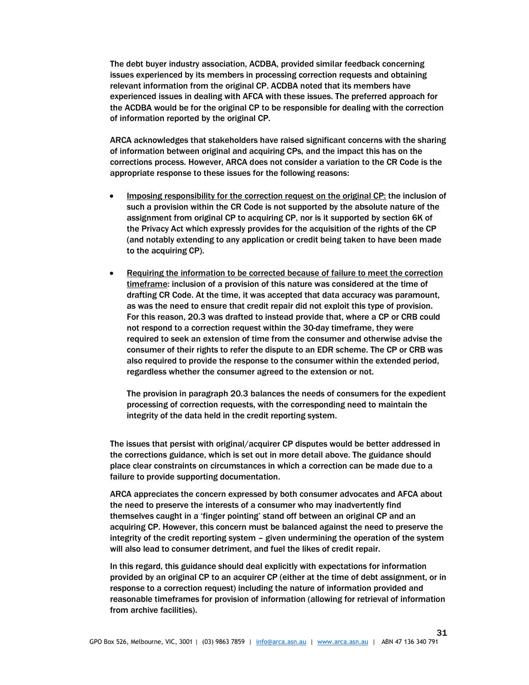The debt buyer industry association, ACDBA, provided similar feedback concerning issues experienced by its members in processing correction requests and obtaining relevant information from the original CP. ACDBA noted that its members have experienced issues in dealing with AFCA with these issues. The preferred approach for the ACDBA would be for the original CP to be responsible for dealing with the correction of information reported by the original CP.

ARCA acknowledges that stakeholders have raised significant concerns with the sharing of information between original and acquiring CPs, and the impact this has on the corrections process. However, ARCA does not consider a variation to the CR Code is the appropriate response to these issues for the following reasons:

- Imposing responsibility for the correction request on the original CP: the inclusion of such a provision within the CR Code is not supported by the absolute nature of the assignment from original CP to acquiring CP, nor is it supported by section 6K of the Privacy Act which expressly provides for the acquisition of the rights of the CP (and notably extending to any application or credit being taken to have been made to the acquiring CP).
- Requiring the information to be corrected because of failure to meet the correction timeframe: inclusion of a provision of this nature was considered at the time of drafting CR Code. At the time, it was accepted that data accuracy was paramount, as was the need to ensure that credit repair did not exploit this type of provision. For this reason, 20.3 was drafted to instead provide that, where a CP or CRB could not respond to a correction request within the 30-day timeframe, they were required to seek an extension of time from the consumer and otherwise advise the consumer of their rights to refer the dispute to an EDR scheme. The CP or CRB was also required to provide the response to the consumer within the extended period, regardless whether the consumer agreed to the extension or not.

The provision in paragraph 20.3 balances the needs of consumers for the expedient processing of correction requests, with the corresponding need to maintain the integrity of the data held in the credit reporting system.

The issues that persist with original/acquirer CP disputes would be better addressed in the corrections guidance, which is set out in more detail above. The guidance should place clear constraints on circumstances in which a correction can be made due to a failure to provide supporting documentation.

ARCA appreciates the concern expressed by both consumer advocates and AFCA about the need to preserve the interests of a consumer who may inadvertently find themselves caught in a 'finger pointing' stand off between an original CP and an acquiring CP. However, this concern must be balanced against the need to preserve the integrity of the credit reporting system – given undermining the operation of the system will also lead to consumer detriment, and fuel the likes of credit repair.

In this regard, this guidance should deal explicitly with expectations for information provided by an original CP to an acquirer CP (either at the time of debt assignment, or in response to a correction request) including the nature of information provided and reasonable timeframes for provision of information (allowing for retrieval of information from archive facilities).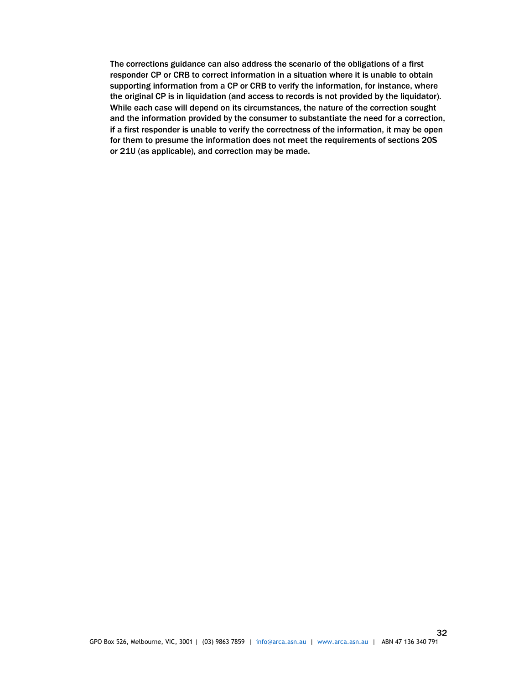The corrections guidance can also address the scenario of the obligations of a first responder CP or CRB to correct information in a situation where it is unable to obtain supporting information from a CP or CRB to verify the information, for instance, where the original CP is in liquidation (and access to records is not provided by the liquidator). While each case will depend on its circumstances, the nature of the correction sought and the information provided by the consumer to substantiate the need for a correction, if a first responder is unable to verify the correctness of the information, it may be open for them to presume the information does not meet the requirements of sections 20S or 21U (as applicable), and correction may be made.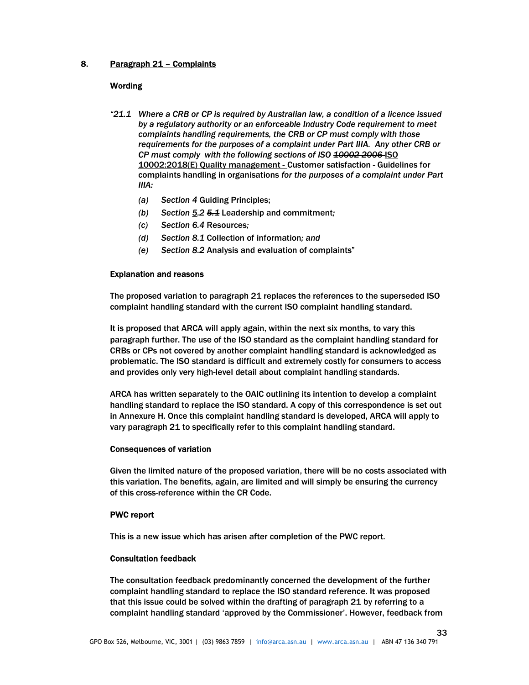# 8. Paragraph 21 – Complaints

## **Wording**

- "21.1 Where a CRB or CP is required by Australian law, a condition of a licence issued by a regulatory authority or an enforceable Industry Code requirement to meet complaints handling requirements, the CRB or CP must comply with those requirements for the purposes of a complaint under Part IIIA. Any other CRB or CP must comply with the following sections of ISO 10002-2006-ISO 10002:2018(E) Quality management - Customer satisfaction - Guidelines for complaints handling in organisations for the purposes of a complaint under Part IIIA:
	- (a) Section 4 Guiding Principles;
	- (b) Section 5.2  $5.1$  Leadership and commitment;
	- (c) Section 6.4 Resources;
	- (d) Section 8.1 Collection of information; and
	- (e) Section 8.2 Analysis and evaluation of complaints"

#### Explanation and reasons

The proposed variation to paragraph 21 replaces the references to the superseded ISO complaint handling standard with the current ISO complaint handling standard.

It is proposed that ARCA will apply again, within the next six months, to vary this paragraph further. The use of the ISO standard as the complaint handling standard for CRBs or CPs not covered by another complaint handling standard is acknowledged as problematic. The ISO standard is difficult and extremely costly for consumers to access and provides only very high-level detail about complaint handling standards.

ARCA has written separately to the OAIC outlining its intention to develop a complaint handling standard to replace the ISO standard. A copy of this correspondence is set out in Annexure H. Once this complaint handling standard is developed, ARCA will apply to vary paragraph 21 to specifically refer to this complaint handling standard.

#### Consequences of variation

Given the limited nature of the proposed variation, there will be no costs associated with this variation. The benefits, again, are limited and will simply be ensuring the currency of this cross-reference within the CR Code.

## PWC report

This is a new issue which has arisen after completion of the PWC report.

## Consultation feedback

The consultation feedback predominantly concerned the development of the further complaint handling standard to replace the ISO standard reference. It was proposed that this issue could be solved within the drafting of paragraph 21 by referring to a complaint handling standard 'approved by the Commissioner'. However, feedback from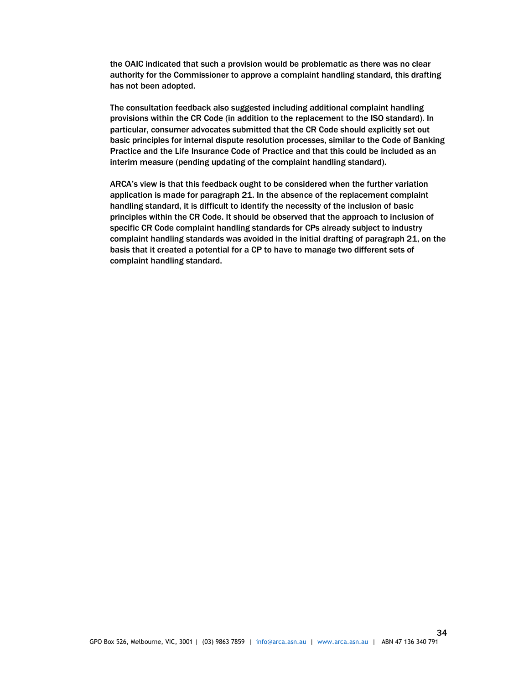the OAIC indicated that such a provision would be problematic as there was no clear authority for the Commissioner to approve a complaint handling standard, this drafting has not been adopted.

The consultation feedback also suggested including additional complaint handling provisions within the CR Code (in addition to the replacement to the ISO standard). In particular, consumer advocates submitted that the CR Code should explicitly set out basic principles for internal dispute resolution processes, similar to the Code of Banking Practice and the Life Insurance Code of Practice and that this could be included as an interim measure (pending updating of the complaint handling standard).

ARCA's view is that this feedback ought to be considered when the further variation application is made for paragraph 21. In the absence of the replacement complaint handling standard, it is difficult to identify the necessity of the inclusion of basic principles within the CR Code. It should be observed that the approach to inclusion of specific CR Code complaint handling standards for CPs already subject to industry complaint handling standards was avoided in the initial drafting of paragraph 21, on the basis that it created a potential for a CP to have to manage two different sets of complaint handling standard.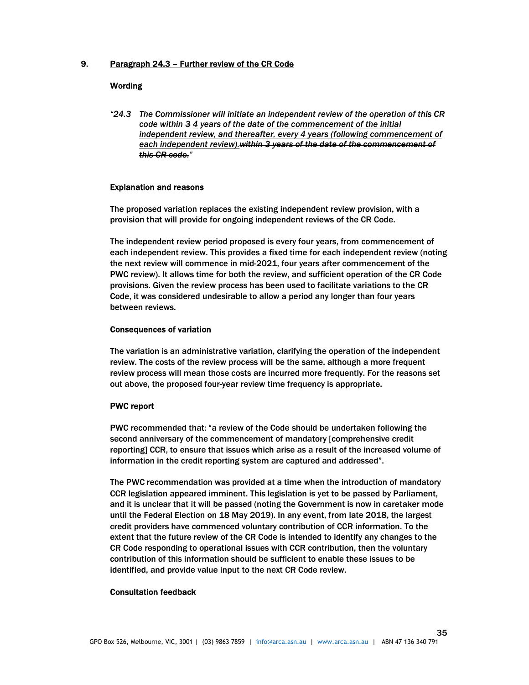## 9. Paragraph 24.3 – Further review of the CR Code

## **Wording**

"24.3 The Commissioner will initiate an independent review of the operation of this CR code within  $34$  years of the date of the commencement of the initial independent review, and thereafter, every 4 years (following commencement of each independent review). within 3 years of the date of the commencement of this CR code."

## Explanation and reasons

The proposed variation replaces the existing independent review provision, with a provision that will provide for ongoing independent reviews of the CR Code.

The independent review period proposed is every four years, from commencement of each independent review. This provides a fixed time for each independent review (noting the next review will commence in mid-2021, four years after commencement of the PWC review). It allows time for both the review, and sufficient operation of the CR Code provisions. Given the review process has been used to facilitate variations to the CR Code, it was considered undesirable to allow a period any longer than four years between reviews.

## Consequences of variation

The variation is an administrative variation, clarifying the operation of the independent review. The costs of the review process will be the same, although a more frequent review process will mean those costs are incurred more frequently. For the reasons set out above, the proposed four-year review time frequency is appropriate.

## PWC report

PWC recommended that: "a review of the Code should be undertaken following the second anniversary of the commencement of mandatory [comprehensive credit reporting] CCR, to ensure that issues which arise as a result of the increased volume of information in the credit reporting system are captured and addressed".

The PWC recommendation was provided at a time when the introduction of mandatory CCR legislation appeared imminent. This legislation is yet to be passed by Parliament, and it is unclear that it will be passed (noting the Government is now in caretaker mode until the Federal Election on 18 May 2019). In any event, from late 2018, the largest credit providers have commenced voluntary contribution of CCR information. To the extent that the future review of the CR Code is intended to identify any changes to the CR Code responding to operational issues with CCR contribution, then the voluntary contribution of this information should be sufficient to enable these issues to be identified, and provide value input to the next CR Code review.

## Consultation feedback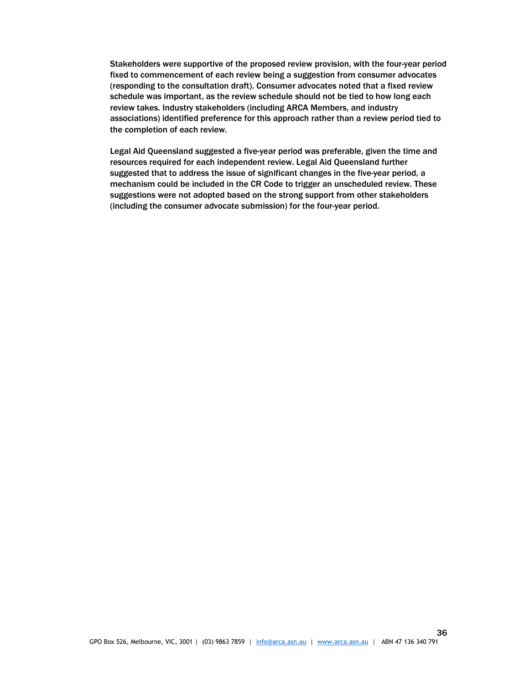Stakeholders were supportive of the proposed review provision, with the four-year period fixed to commencement of each review being a suggestion from consumer advocates (responding to the consultation draft). Consumer advocates noted that a fixed review schedule was important, as the review schedule should not be tied to how long each review takes. Industry stakeholders (including ARCA Members, and industry associations) identified preference for this approach rather than a review period tied to the completion of each review.

Legal Aid Queensland suggested a five-year period was preferable, given the time and resources required for each independent review. Legal Aid Queensland further suggested that to address the issue of significant changes in the five-year period, a mechanism could be included in the CR Code to trigger an unscheduled review. These suggestions were not adopted based on the strong support from other stakeholders (including the consumer advocate submission) for the four-year period.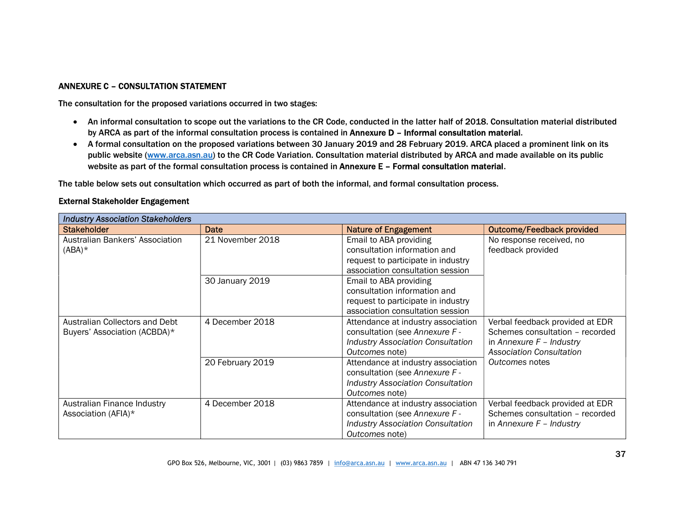# ANNEXURE C – CONSULTATION STATEMENT

The consultation for the proposed variations occurred in two stages:

- An informal consultation to scope out the variations to the CR Code, conducted in the latter half of 2018. Consultation material distributed by ARCA as part of the informal consultation process is contained in Annexure D – Informal consultation material.
- A formal consultation on the proposed variations between 30 January 2019 and 28 February 2019. ARCA placed a prominent link on its public website (www.arca.asn.au) to the CR Code Variation. Consultation material distributed by ARCA and made available on its public website as part of the formal consultation process is contained in Annexure E – Formal consultation material.

The table below sets out consultation which occurred as part of both the informal, and formal consultation process.

| <b>Industry Association Stakeholders</b>                       |                  |                                                                                                                                    |                                                                                                                                     |  |
|----------------------------------------------------------------|------------------|------------------------------------------------------------------------------------------------------------------------------------|-------------------------------------------------------------------------------------------------------------------------------------|--|
| <b>Stakeholder</b>                                             | Date             | <b>Nature of Engagement</b>                                                                                                        | <b>Outcome/Feedback provided</b>                                                                                                    |  |
| Australian Bankers' Association<br>$(ABA)^*$                   | 21 November 2018 | Email to ABA providing<br>consultation information and<br>request to participate in industry<br>association consultation session   | No response received, no<br>feedback provided                                                                                       |  |
|                                                                | 30 January 2019  | Email to ABA providing<br>consultation information and<br>request to participate in industry<br>association consultation session   |                                                                                                                                     |  |
| Australian Collectors and Debt<br>Buyers' Association (ACBDA)* | 4 December 2018  | Attendance at industry association<br>consultation (see Annexure F -<br><b>Industry Association Consultation</b><br>Outcomes note) | Verbal feedback provided at EDR<br>Schemes consultation - recorded<br>in Annexure $F$ – Industry<br><b>Association Consultation</b> |  |
|                                                                | 20 February 2019 | Attendance at industry association<br>consultation (see Annexure F -<br><b>Industry Association Consultation</b><br>Outcomes note) | Outcomes notes                                                                                                                      |  |
| Australian Finance Industry<br>Association (AFIA)*             | 4 December 2018  | Attendance at industry association<br>consultation (see Annexure F -<br><b>Industry Association Consultation</b><br>Outcomes note) | Verbal feedback provided at EDR<br>Schemes consultation - recorded<br>in Annexure $F -$ Industry                                    |  |

## External Stakeholder Engagement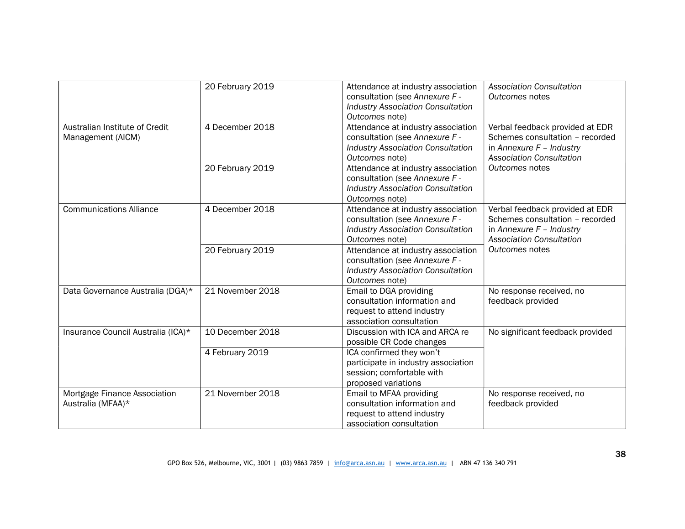|                                                     | 20 February 2019 | Attendance at industry association<br>consultation (see Annexure F -<br><b>Industry Association Consultation</b><br>Outcomes note) | <b>Association Consultation</b><br>Outcomes notes                                                                                   |
|-----------------------------------------------------|------------------|------------------------------------------------------------------------------------------------------------------------------------|-------------------------------------------------------------------------------------------------------------------------------------|
| Australian Institute of Credit<br>Management (AICM) | 4 December 2018  | Attendance at industry association<br>consultation (see Annexure F -<br><b>Industry Association Consultation</b><br>Outcomes note) | Verbal feedback provided at EDR<br>Schemes consultation - recorded<br>in Annexure $F -$ Industry<br><b>Association Consultation</b> |
|                                                     | 20 February 2019 | Attendance at industry association<br>consultation (see Annexure F -<br><b>Industry Association Consultation</b><br>Outcomes note) | Outcomes notes                                                                                                                      |
| <b>Communications Alliance</b>                      | 4 December 2018  | Attendance at industry association<br>consultation (see Annexure F -<br><b>Industry Association Consultation</b><br>Outcomes note) | Verbal feedback provided at EDR<br>Schemes consultation - recorded<br>in Annexure $F -$ Industry<br><b>Association Consultation</b> |
|                                                     | 20 February 2019 | Attendance at industry association<br>consultation (see Annexure F -<br><b>Industry Association Consultation</b><br>Outcomes note) | Outcomes notes                                                                                                                      |
| Data Governance Australia (DGA)*                    | 21 November 2018 | Email to DGA providing<br>consultation information and<br>request to attend industry<br>association consultation                   | No response received, no<br>feedback provided                                                                                       |
| Insurance Council Australia (ICA)*                  | 10 December 2018 | Discussion with ICA and ARCA re<br>possible CR Code changes                                                                        | No significant feedback provided                                                                                                    |
|                                                     | 4 February 2019  | ICA confirmed they won't<br>participate in industry association<br>session; comfortable with<br>proposed variations                |                                                                                                                                     |
| Mortgage Finance Association<br>Australia (MFAA)*   | 21 November 2018 | Email to MFAA providing<br>consultation information and<br>request to attend industry<br>association consultation                  | No response received, no<br>feedback provided                                                                                       |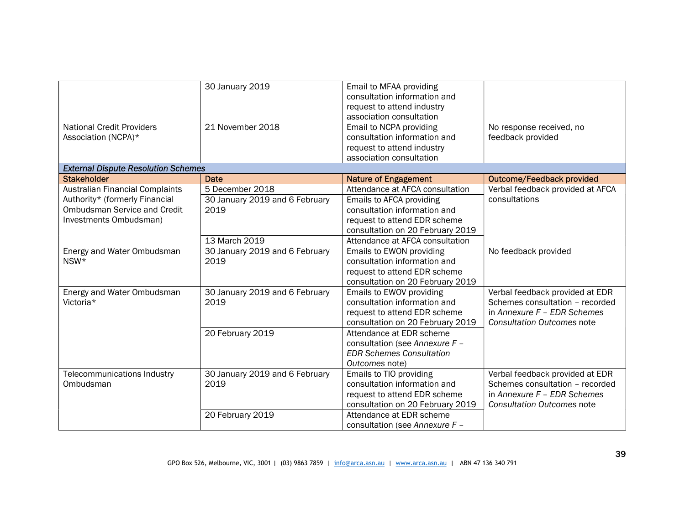|                                            | 30 January 2019                | Email to MFAA providing          |                                   |
|--------------------------------------------|--------------------------------|----------------------------------|-----------------------------------|
|                                            |                                | consultation information and     |                                   |
|                                            |                                | request to attend industry       |                                   |
|                                            |                                | association consultation         |                                   |
| <b>National Credit Providers</b>           | 21 November 2018               | Email to NCPA providing          | No response received, no          |
| Association (NCPA)*                        |                                | consultation information and     | feedback provided                 |
|                                            |                                | request to attend industry       |                                   |
|                                            |                                | association consultation         |                                   |
| <b>External Dispute Resolution Schemes</b> |                                |                                  |                                   |
| <b>Stakeholder</b>                         | <b>Date</b>                    | <b>Nature of Engagement</b>      | <b>Outcome/Feedback provided</b>  |
| <b>Australian Financial Complaints</b>     | 5 December 2018                | Attendance at AFCA consultation  | Verbal feedback provided at AFCA  |
| Authority* (formerly Financial             | 30 January 2019 and 6 February | Emails to AFCA providing         | consultations                     |
| <b>Ombudsman Service and Credit</b>        | 2019                           | consultation information and     |                                   |
| Investments Ombudsman)                     |                                | request to attend EDR scheme     |                                   |
|                                            |                                | consultation on 20 February 2019 |                                   |
|                                            | 13 March 2019                  | Attendance at AFCA consultation  |                                   |
| Energy and Water Ombudsman                 | 30 January 2019 and 6 February | Emails to EWON providing         | No feedback provided              |
| NSW*                                       | 2019                           | consultation information and     |                                   |
|                                            |                                | request to attend EDR scheme     |                                   |
|                                            |                                | consultation on 20 February 2019 |                                   |
| Energy and Water Ombudsman                 | 30 January 2019 and 6 February | Emails to EWOV providing         | Verbal feedback provided at EDR   |
| Victoria*                                  | 2019                           | consultation information and     | Schemes consultation - recorded   |
|                                            |                                | request to attend EDR scheme     | in Annexure $F - EDR$ Schemes     |
|                                            |                                | consultation on 20 February 2019 | <b>Consultation Outcomes note</b> |
|                                            | 20 February 2019               | Attendance at EDR scheme         |                                   |
|                                            |                                | consultation (see Annexure F -   |                                   |
|                                            |                                | <b>EDR Schemes Consultation</b>  |                                   |
|                                            |                                | Outcomes note)                   |                                   |
| Telecommunications Industry                | 30 January 2019 and 6 February | Emails to TIO providing          | Verbal feedback provided at EDR   |
| Ombudsman                                  | 2019                           | consultation information and     | Schemes consultation - recorded   |
|                                            |                                | request to attend EDR scheme     | in Annexure $F - EDR$ Schemes     |
|                                            |                                | consultation on 20 February 2019 | <b>Consultation Outcomes note</b> |
|                                            | 20 February 2019               | Attendance at EDR scheme         |                                   |
|                                            |                                | consultation (see Annexure F -   |                                   |
|                                            |                                |                                  |                                   |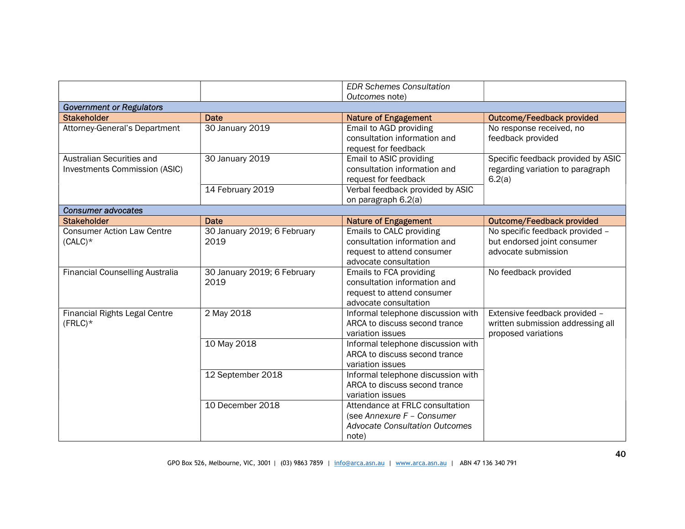|                                        |                             | <b>EDR Schemes Consultation</b>       |                                    |
|----------------------------------------|-----------------------------|---------------------------------------|------------------------------------|
|                                        |                             | Outcomes note)                        |                                    |
|                                        |                             |                                       |                                    |
| <b>Government or Regulators</b>        |                             |                                       |                                    |
| <b>Stakeholder</b>                     | Date                        | <b>Nature of Engagement</b>           | <b>Outcome/Feedback provided</b>   |
| Attorney-General's Department          | 30 January 2019             | Email to AGD providing                | No response received, no           |
|                                        |                             | consultation information and          | feedback provided                  |
|                                        |                             | request for feedback                  |                                    |
| Australian Securities and              | 30 January 2019             | Email to ASIC providing               | Specific feedback provided by ASIC |
| Investments Commission (ASIC)          |                             | consultation information and          | regarding variation to paragraph   |
|                                        |                             | request for feedback                  | 6.2(a)                             |
|                                        | 14 February 2019            | Verbal feedback provided by ASIC      |                                    |
|                                        |                             | on paragraph 6.2(a)                   |                                    |
| <b>Consumer advocates</b>              |                             |                                       |                                    |
| <b>Stakeholder</b>                     | <b>Date</b>                 | <b>Nature of Engagement</b>           | <b>Outcome/Feedback provided</b>   |
| <b>Consumer Action Law Centre</b>      | 30 January 2019; 6 February | Emails to CALC providing              | No specific feedback provided -    |
| $(CALC)*$                              | 2019                        | consultation information and          | but endorsed joint consumer        |
|                                        |                             | request to attend consumer            | advocate submission                |
|                                        |                             | advocate consultation                 |                                    |
| <b>Financial Counselling Australia</b> | 30 January 2019; 6 February | Emails to FCA providing               | No feedback provided               |
|                                        | 2019                        | consultation information and          |                                    |
|                                        |                             | request to attend consumer            |                                    |
|                                        |                             | advocate consultation                 |                                    |
| <b>Financial Rights Legal Centre</b>   | 2 May 2018                  | Informal telephone discussion with    | Extensive feedback provided -      |
| $(FRLC)*$                              |                             | ARCA to discuss second trance         | written submission addressing all  |
|                                        |                             | variation issues                      | proposed variations                |
|                                        | 10 May 2018                 | Informal telephone discussion with    |                                    |
|                                        |                             | ARCA to discuss second trance         |                                    |
|                                        |                             |                                       |                                    |
|                                        |                             | variation issues                      |                                    |
|                                        | 12 September 2018           | Informal telephone discussion with    |                                    |
|                                        |                             | ARCA to discuss second trance         |                                    |
|                                        |                             | variation issues                      |                                    |
|                                        | 10 December 2018            | Attendance at FRLC consultation       |                                    |
|                                        |                             | (see Annexure F - Consumer            |                                    |
|                                        |                             | <b>Advocate Consultation Outcomes</b> |                                    |
|                                        |                             | note)                                 |                                    |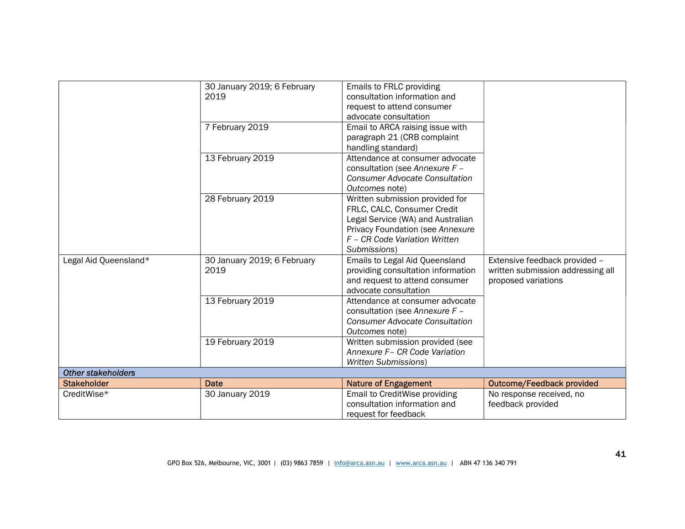|                           | 30 January 2019; 6 February | Emails to FRLC providing              |                                   |
|---------------------------|-----------------------------|---------------------------------------|-----------------------------------|
|                           | 2019                        | consultation information and          |                                   |
|                           |                             | request to attend consumer            |                                   |
|                           |                             | advocate consultation                 |                                   |
|                           | 7 February 2019             | Email to ARCA raising issue with      |                                   |
|                           |                             | paragraph 21 (CRB complaint           |                                   |
|                           |                             | handling standard)                    |                                   |
|                           | 13 February 2019            | Attendance at consumer advocate       |                                   |
|                           |                             | consultation (see Annexure F -        |                                   |
|                           |                             | <b>Consumer Advocate Consultation</b> |                                   |
|                           |                             | Outcomes note)                        |                                   |
|                           | 28 February 2019            | Written submission provided for       |                                   |
|                           |                             | FRLC, CALC, Consumer Credit           |                                   |
|                           |                             | Legal Service (WA) and Australian     |                                   |
|                           |                             | Privacy Foundation (see Annexure      |                                   |
|                           |                             | F - CR Code Variation Written         |                                   |
|                           |                             | Submissions)                          |                                   |
| Legal Aid Queensland*     | 30 January 2019; 6 February | Emails to Legal Aid Queensland        | Extensive feedback provided -     |
|                           | 2019                        | providing consultation information    | written submission addressing all |
|                           |                             | and request to attend consumer        | proposed variations               |
|                           |                             | advocate consultation                 |                                   |
|                           | 13 February 2019            | Attendance at consumer advocate       |                                   |
|                           |                             | consultation (see Annexure F -        |                                   |
|                           |                             | <b>Consumer Advocate Consultation</b> |                                   |
|                           |                             | Outcomes note)                        |                                   |
|                           | 19 February 2019            | Written submission provided (see      |                                   |
|                           |                             | Annexure F- CR Code Variation         |                                   |
|                           |                             | <b>Written Submissions)</b>           |                                   |
| <b>Other stakeholders</b> |                             |                                       |                                   |
| <b>Stakeholder</b>        | <b>Date</b>                 | <b>Nature of Engagement</b>           | <b>Outcome/Feedback provided</b>  |
| CreditWise*               | 30 January 2019             | Email to CreditWise providing         | No response received, no          |
|                           |                             | consultation information and          | feedback provided                 |
|                           |                             | request for feedback                  |                                   |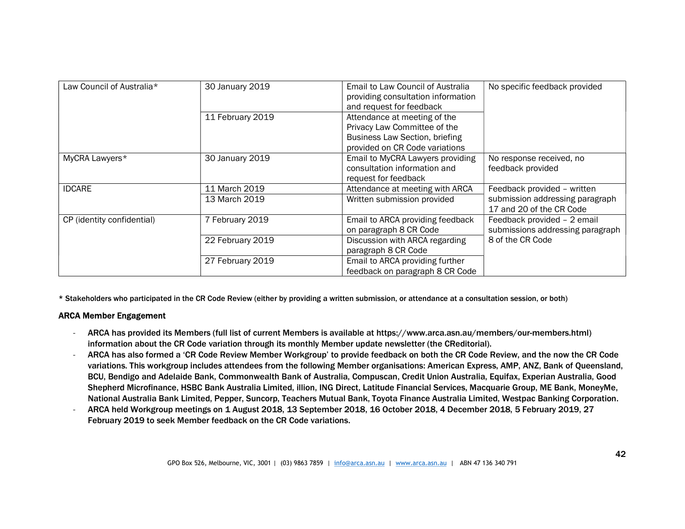| Law Council of Australia*  | 30 January 2019                | Email to Law Council of Australia<br>providing consultation information<br>and request for feedback                                     | No specific feedback provided                                                              |
|----------------------------|--------------------------------|-----------------------------------------------------------------------------------------------------------------------------------------|--------------------------------------------------------------------------------------------|
|                            | 11 February 2019               | Attendance at meeting of the<br>Privacy Law Committee of the<br><b>Business Law Section, briefing</b><br>provided on CR Code variations |                                                                                            |
| MyCRA Lawyers*             | 30 January 2019                | Email to MyCRA Lawyers providing<br>consultation information and<br>request for feedback                                                | No response received, no<br>feedback provided                                              |
| <b>IDCARE</b>              | 11 March 2019<br>13 March 2019 | Attendance at meeting with ARCA<br>Written submission provided                                                                          | Feedback provided - written<br>submission addressing paragraph<br>17 and 20 of the CR Code |
| CP (identity confidential) | 7 February 2019                | Email to ARCA providing feedback<br>on paragraph 8 CR Code                                                                              | Feedback provided - 2 email<br>submissions addressing paragraph                            |
|                            | 22 February 2019               | Discussion with ARCA regarding<br>paragraph 8 CR Code                                                                                   | 8 of the CR Code                                                                           |
|                            | 27 February 2019               | Email to ARCA providing further<br>feedback on paragraph 8 CR Code                                                                      |                                                                                            |

\* Stakeholders who participated in the CR Code Review (either by providing a written submission, or attendance at a consultation session, or both)

# ARCA Member Engagement

- ARCA has provided its Members (full list of current Members is available at https://www.arca.asn.au/members/our-members.html) information about the CR Code variation through its monthly Member update newsletter (the CReditorial).
- ARCA has also formed a 'CR Code Review Member Workgroup' to provide feedback on both the CR Code Review, and the now the CR Code variations. This workgroup includes attendees from the following Member organisations: American Express, AMP, ANZ, Bank of Queensland, BCU, Bendigo and Adelaide Bank, Commonwealth Bank of Australia, Compuscan, Credit Union Australia, Equifax, Experian Australia, Good Shepherd Microfinance, HSBC Bank Australia Limited, illion, ING Direct, Latitude Financial Services, Macquarie Group, ME Bank, MoneyMe, National Australia Bank Limited, Pepper, Suncorp, Teachers Mutual Bank, Toyota Finance Australia Limited, Westpac Banking Corporation.
- ARCA held Workgroup meetings on 1 August 2018, 13 September 2018, 16 October 2018, 4 December 2018, 5 February 2019, 27 February 2019 to seek Member feedback on the CR Code variations.